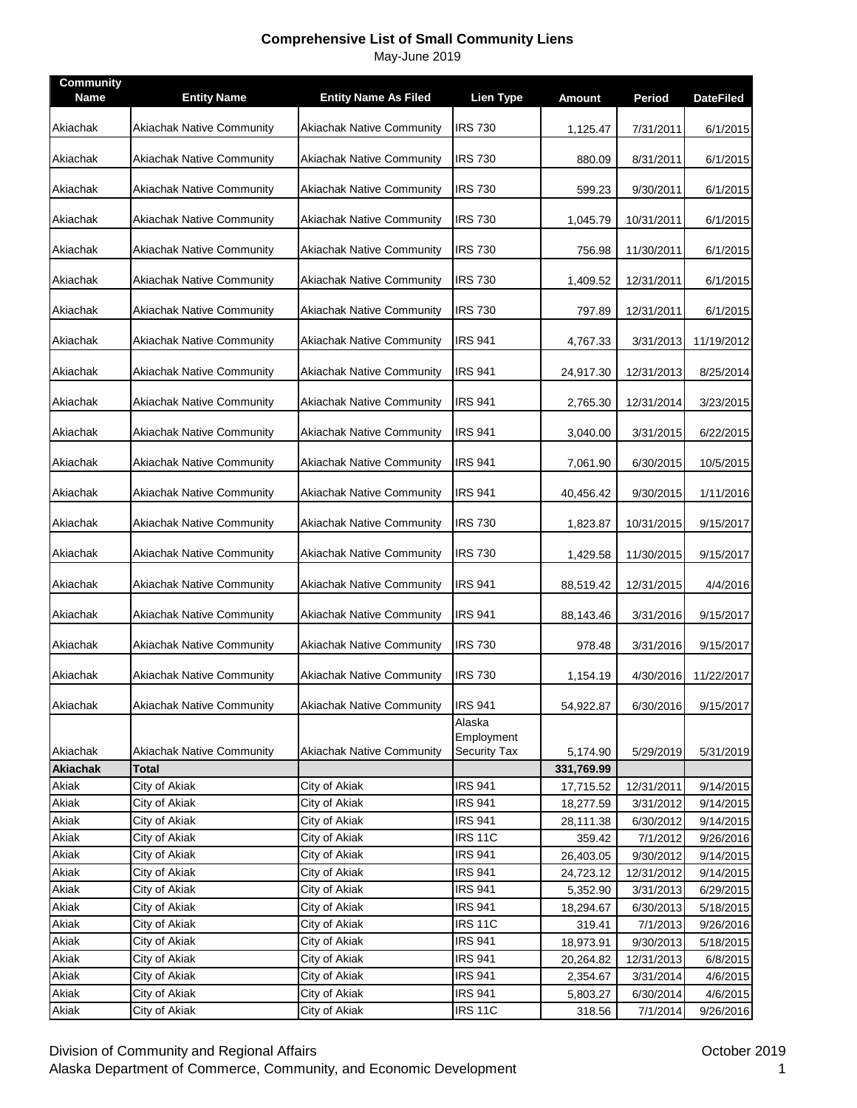| Community<br><b>Name</b> | <b>Entity Name</b>               | <b>Entity Name As Filed</b>      | <b>Lien Type</b>                  | <b>Amount</b> | Period     | <b>DateFiled</b> |
|--------------------------|----------------------------------|----------------------------------|-----------------------------------|---------------|------------|------------------|
| Akiachak                 | <b>Akiachak Native Community</b> | <b>Akiachak Native Community</b> | <b>IRS 730</b>                    | 1,125.47      | 7/31/2011  | 6/1/2015         |
| Akiachak                 | Akiachak Native Community        | <b>Akiachak Native Community</b> | <b>IRS 730</b>                    | 880.09        | 8/31/2011  | 6/1/2015         |
| Akiachak                 | Akiachak Native Community        | <b>Akiachak Native Community</b> | <b>IRS 730</b>                    | 599.23        | 9/30/2011  | 6/1/2015         |
| Akiachak                 | <b>Akiachak Native Community</b> | <b>Akiachak Native Community</b> | <b>IRS 730</b>                    | 1,045.79      | 10/31/2011 | 6/1/2015         |
| Akiachak                 | <b>Akiachak Native Community</b> | <b>Akiachak Native Community</b> | <b>IRS 730</b>                    | 756.98        | 11/30/2011 | 6/1/2015         |
| Akiachak                 | Akiachak Native Community        | <b>Akiachak Native Community</b> | <b>IRS 730</b>                    | 1,409.52      | 12/31/2011 | 6/1/2015         |
| Akiachak                 | Akiachak Native Community        | Akiachak Native Community        | <b>IRS 730</b>                    | 797.89        | 12/31/2011 | 6/1/2015         |
| Akiachak                 | Akiachak Native Community        | <b>Akiachak Native Community</b> | <b>IRS 941</b>                    | 4,767.33      | 3/31/2013  | 11/19/2012       |
| Akiachak                 | <b>Akiachak Native Community</b> | <b>Akiachak Native Community</b> | <b>IRS 941</b>                    | 24,917.30     | 12/31/2013 | 8/25/2014        |
| Akiachak                 | <b>Akiachak Native Community</b> | <b>Akiachak Native Community</b> | <b>IRS 941</b>                    | 2,765.30      | 12/31/2014 | 3/23/2015        |
| Akiachak                 | Akiachak Native Community        | <b>Akiachak Native Community</b> | <b>IRS 941</b>                    | 3,040.00      | 3/31/2015  | 6/22/2015        |
| Akiachak                 | Akiachak Native Community        | <b>Akiachak Native Community</b> | <b>IRS 941</b>                    | 7,061.90      | 6/30/2015  | 10/5/2015        |
| Akiachak                 | Akiachak Native Community        | <b>Akiachak Native Community</b> | <b>IRS 941</b>                    | 40,456.42     | 9/30/2015  | 1/11/2016        |
| Akiachak                 | Akiachak Native Community        | <b>Akiachak Native Community</b> | <b>IRS 730</b>                    | 1,823.87      | 10/31/2015 | 9/15/2017        |
| Akiachak                 | <b>Akiachak Native Community</b> | <b>Akiachak Native Community</b> | <b>IRS 730</b>                    | 1,429.58      | 11/30/2015 | 9/15/2017        |
| Akiachak                 | Akiachak Native Community        | <b>Akiachak Native Community</b> | <b>IRS 941</b>                    | 88,519.42     | 12/31/2015 | 4/4/2016         |
| Akiachak                 | <b>Akiachak Native Community</b> | <b>Akiachak Native Community</b> | <b>IRS 941</b>                    | 88,143.46     | 3/31/2016  | 9/15/2017        |
| Akiachak                 | <b>Akiachak Native Community</b> | <b>Akiachak Native Community</b> | <b>IRS 730</b>                    | 978.48        | 3/31/2016  | 9/15/2017        |
| Akiachak                 | <b>Akiachak Native Community</b> | <b>Akiachak Native Community</b> | <b>IRS 730</b>                    | 1,154.19      | 4/30/2016  | 11/22/2017       |
| Akiachak                 | <b>Akiachak Native Community</b> | <b>Akiachak Native Community</b> | <b>IRS 941</b><br>Alaska          | 54,922.87     | 6/30/2016  | 9/15/2017        |
| Akiachak                 | <b>Akiachak Native Community</b> | <b>Akiachak Native Community</b> | Employment<br><b>Security Tax</b> | 5,174.90      | 5/29/2019  | 5/31/2019        |
| Akiachak                 | <b>Total</b>                     |                                  |                                   | 331,769.99    |            |                  |
| Akiak                    | City of Akiak                    | City of Akiak                    | <b>IRS 941</b>                    | 17,715.52     | 12/31/2011 | 9/14/2015        |
| Akiak                    | City of Akiak                    | City of Akiak                    | <b>IRS 941</b>                    | 18,277.59     | 3/31/2012  | 9/14/2015        |
| Akiak                    | City of Akiak                    | City of Akiak                    | <b>IRS 941</b>                    | 28,111.38     | 6/30/2012  | 9/14/2015        |
| Akiak                    | City of Akiak                    | City of Akiak                    | <b>IRS 11C</b>                    | 359.42        | 7/1/2012   | 9/26/2016        |
| Akiak                    | City of Akiak                    | City of Akiak                    | <b>IRS 941</b>                    | 26,403.05     | 9/30/2012  | 9/14/2015        |
| Akiak                    | City of Akiak                    | City of Akiak                    | <b>IRS 941</b>                    | 24,723.12     | 12/31/2012 | 9/14/2015        |
| Akiak                    | City of Akiak                    | City of Akiak                    | <b>IRS 941</b>                    | 5,352.90      | 3/31/2013  | 6/29/2015        |
| Akiak                    | City of Akiak                    | City of Akiak                    | <b>IRS 941</b>                    | 18,294.67     | 6/30/2013  | 5/18/2015        |
| Akiak                    | City of Akiak                    | City of Akiak                    | <b>IRS 11C</b>                    | 319.41        | 7/1/2013   | 9/26/2016        |
| Akiak                    | City of Akiak                    | City of Akiak                    | <b>IRS 941</b>                    | 18,973.91     | 9/30/2013  | 5/18/2015        |
| Akiak                    | City of Akiak                    | City of Akiak                    | <b>IRS 941</b>                    | 20,264.82     | 12/31/2013 | 6/8/2015         |
| Akiak                    | City of Akiak                    | City of Akiak                    | <b>IRS 941</b>                    | 2,354.67      | 3/31/2014  | 4/6/2015         |
| Akiak                    | City of Akiak                    | City of Akiak                    | <b>IRS 941</b>                    | 5,803.27      | 6/30/2014  | 4/6/2015         |
| Akiak                    | City of Akiak                    | City of Akiak                    | <b>IRS 11C</b>                    | 318.56        | 7/1/2014   | 9/26/2016        |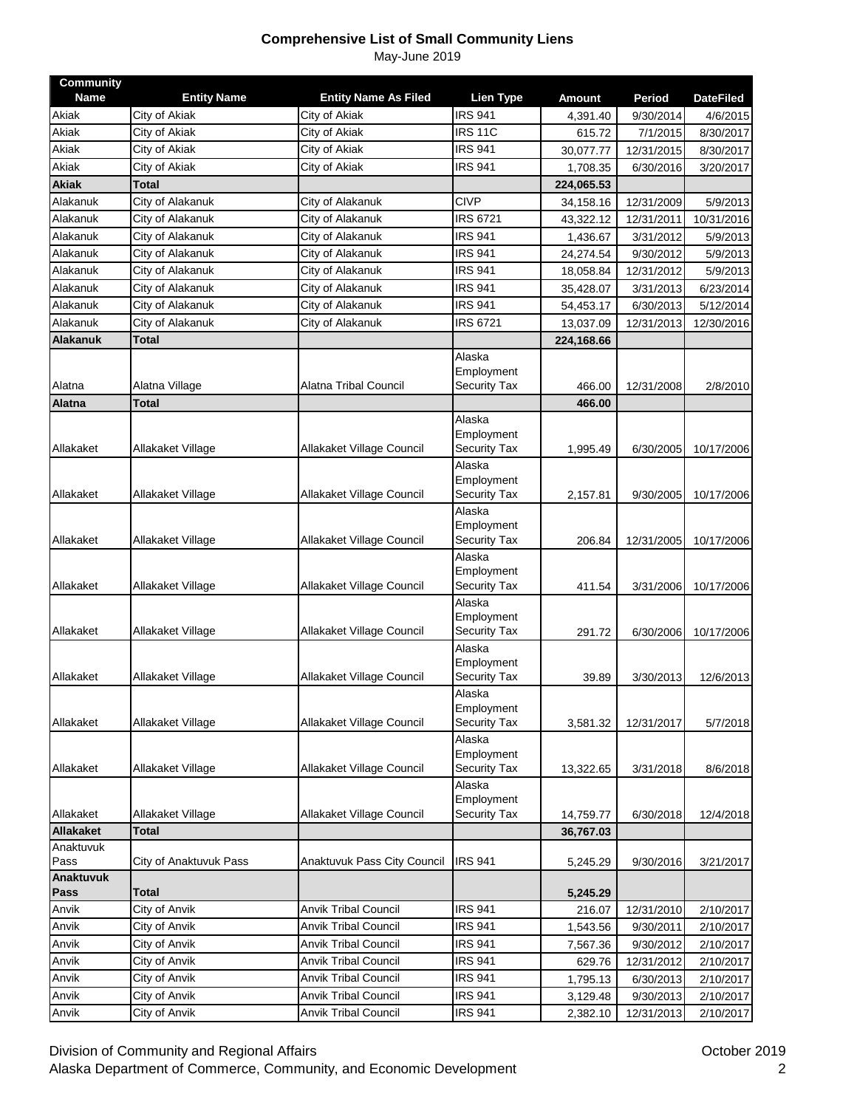| <b>Community</b><br><b>Name</b> |                                     |                                              |                                    |                           |                     |                              |
|---------------------------------|-------------------------------------|----------------------------------------------|------------------------------------|---------------------------|---------------------|------------------------------|
| Akiak                           | <b>Entity Name</b><br>City of Akiak | <b>Entity Name As Filed</b><br>City of Akiak | <b>Lien Type</b><br><b>IRS 941</b> | <b>Amount</b><br>4,391.40 | Period<br>9/30/2014 | <b>DateFiled</b><br>4/6/2015 |
| Akiak                           | City of Akiak                       | City of Akiak                                | <b>IRS 11C</b>                     | 615.72                    | 7/1/2015            | 8/30/2017                    |
| Akiak                           | City of Akiak                       | City of Akiak                                | <b>IRS 941</b>                     | 30,077.77                 | 12/31/2015          | 8/30/2017                    |
| Akiak                           | City of Akiak                       | City of Akiak                                | <b>IRS 941</b>                     | 1,708.35                  | 6/30/2016           | 3/20/2017                    |
| <b>Akiak</b>                    | <b>Total</b>                        |                                              |                                    | 224,065.53                |                     |                              |
| Alakanuk                        | City of Alakanuk                    | City of Alakanuk                             | <b>CIVP</b>                        | 34,158.16                 | 12/31/2009          | 5/9/2013                     |
| Alakanuk                        | City of Alakanuk                    | City of Alakanuk                             | <b>IRS 6721</b>                    | 43,322.12                 | 12/31/2011          | 10/31/2016                   |
| Alakanuk                        | City of Alakanuk                    | City of Alakanuk                             | <b>IRS 941</b>                     | 1,436.67                  | 3/31/2012           | 5/9/2013                     |
| Alakanuk                        | City of Alakanuk                    | City of Alakanuk                             | <b>IRS 941</b>                     | 24,274.54                 | 9/30/2012           | 5/9/2013                     |
| Alakanuk                        | City of Alakanuk                    | City of Alakanuk                             | IRS 941                            | 18,058.84                 | 12/31/2012          | 5/9/2013                     |
| Alakanuk                        | City of Alakanuk                    | City of Alakanuk                             | <b>IRS 941</b>                     | 35,428.07                 | 3/31/2013           | 6/23/2014                    |
| Alakanuk                        | City of Alakanuk                    | City of Alakanuk                             | <b>IRS 941</b>                     |                           |                     |                              |
| Alakanuk                        | City of Alakanuk                    | City of Alakanuk                             | <b>IRS 6721</b>                    | 54,453.17                 | 6/30/2013           | 5/12/2014                    |
| <b>Alakanuk</b>                 |                                     |                                              |                                    | 13,037.09                 | 12/31/2013          | 12/30/2016                   |
|                                 | Total                               |                                              | Alaska                             | 224,168.66                |                     |                              |
|                                 |                                     |                                              | Employment                         |                           |                     |                              |
| Alatna                          | Alatna Village                      | Alatna Tribal Council                        | Security Tax                       | 466.00                    | 12/31/2008          | 2/8/2010                     |
| <b>Alatna</b>                   | Total                               |                                              |                                    | 466.00                    |                     |                              |
|                                 |                                     |                                              | Alaska                             |                           |                     |                              |
|                                 |                                     |                                              | Employment                         |                           |                     |                              |
| Allakaket                       | Allakaket Village                   | Allakaket Village Council                    | Security Tax                       | 1,995.49                  | 6/30/2005           | 10/17/2006                   |
|                                 |                                     |                                              | Alaska                             |                           |                     |                              |
|                                 |                                     |                                              | Employment                         |                           |                     |                              |
| Allakaket                       | Allakaket Village                   | Allakaket Village Council                    | <b>Security Tax</b>                | 2,157.81                  | 9/30/2005           | 10/17/2006                   |
|                                 |                                     |                                              | Alaska<br>Employment               |                           |                     |                              |
| Allakaket                       | Allakaket Village                   | Allakaket Village Council                    | Security Tax                       | 206.84                    | 12/31/2005          | 10/17/2006                   |
|                                 |                                     |                                              | Alaska                             |                           |                     |                              |
|                                 |                                     |                                              | Employment                         |                           |                     |                              |
| Allakaket                       | Allakaket Village                   | Allakaket Village Council                    | <b>Security Tax</b>                | 411.54                    | 3/31/2006           | 10/17/2006                   |
|                                 |                                     |                                              | Alaska                             |                           |                     |                              |
|                                 |                                     |                                              | Employment                         |                           |                     |                              |
| Allakaket                       | Allakaket Village                   | Allakaket Village Council                    | Security Tax<br>Alaska             | 291.72                    | 6/30/2006           | 10/17/2006                   |
|                                 |                                     |                                              | Employment                         |                           |                     |                              |
| Allakaket                       | Allakaket Village                   | Allakaket Village Council                    | <b>Security Tax</b>                | 39.89                     | 3/30/2013           | 12/6/2013                    |
|                                 |                                     |                                              | Alaska                             |                           |                     |                              |
|                                 |                                     |                                              | Employment                         |                           |                     |                              |
| Allakaket                       | Allakaket Village                   | Allakaket Village Council                    | Security Tax                       | 3,581.32                  | 12/31/2017          | 5/7/2018                     |
|                                 |                                     |                                              | Alaska                             |                           |                     |                              |
|                                 |                                     |                                              | Employment                         |                           |                     |                              |
| Allakaket                       | Allakaket Village                   | Allakaket Village Council                    | Security Tax                       | 13,322.65                 | 3/31/2018           | 8/6/2018                     |
|                                 |                                     |                                              | Alaska<br>Employment               |                           |                     |                              |
| Allakaket                       | Allakaket Village                   | Allakaket Village Council                    | Security Tax                       | 14,759.77                 | 6/30/2018           | 12/4/2018                    |
| <b>Allakaket</b>                | <b>Total</b>                        |                                              |                                    | 36,767.03                 |                     |                              |
| Anaktuvuk                       |                                     |                                              |                                    |                           |                     |                              |
| Pass                            | City of Anaktuvuk Pass              | <b>Anaktuvuk Pass City Council</b>           | <b>IRS 941</b>                     | 5,245.29                  | 9/30/2016           | 3/21/2017                    |
| Anaktuvuk                       |                                     |                                              |                                    |                           |                     |                              |
| Pass                            | Total                               |                                              |                                    | 5,245.29                  |                     |                              |
| Anvik                           | City of Anvik                       | <b>Anvik Tribal Council</b>                  | <b>IRS 941</b>                     | 216.07                    | 12/31/2010          | 2/10/2017                    |
| Anvik                           | City of Anvik                       | <b>Anvik Tribal Council</b>                  | <b>IRS 941</b>                     | 1,543.56                  | 9/30/2011           | 2/10/2017                    |
| Anvik                           | City of Anvik                       | <b>Anvik Tribal Council</b>                  | <b>IRS 941</b>                     | 7,567.36                  | 9/30/2012           | 2/10/2017                    |
| Anvik                           | City of Anvik                       | <b>Anvik Tribal Council</b>                  | <b>IRS 941</b>                     | 629.76                    | 12/31/2012          | 2/10/2017                    |
| Anvik                           | City of Anvik                       | <b>Anvik Tribal Council</b>                  | <b>IRS 941</b>                     | 1,795.13                  | 6/30/2013           | 2/10/2017                    |
| Anvik                           | City of Anvik                       | Anvik Tribal Council                         | <b>IRS 941</b>                     | 3,129.48                  | 9/30/2013           | 2/10/2017                    |
| Anvik                           | City of Anvik                       | <b>Anvik Tribal Council</b>                  | <b>IRS 941</b>                     | 2,382.10                  | 12/31/2013          | 2/10/2017                    |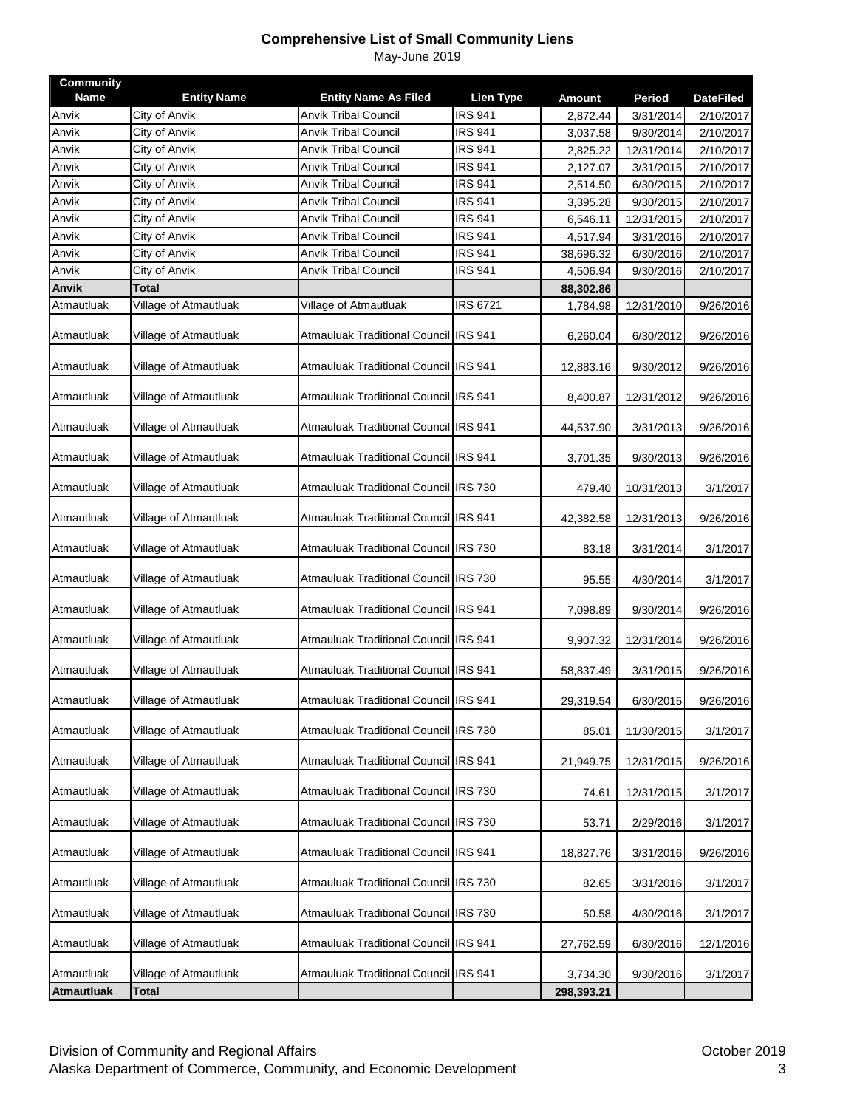| <b>Community</b><br><b>Name</b> |                                     |                                                            | <b>Lien Type</b> |                           |                     |                               |
|---------------------------------|-------------------------------------|------------------------------------------------------------|------------------|---------------------------|---------------------|-------------------------------|
| Anvik                           | <b>Entity Name</b><br>City of Anvik | <b>Entity Name As Filed</b><br><b>Anvik Tribal Council</b> | <b>IRS 941</b>   | <b>Amount</b><br>2,872.44 | Period<br>3/31/2014 | <b>DateFiled</b><br>2/10/2017 |
| Anvik                           | City of Anvik                       | <b>Anvik Tribal Council</b>                                | <b>IRS 941</b>   | 3,037.58                  | 9/30/2014           | 2/10/2017                     |
| Anvik                           | City of Anvik                       | <b>Anvik Tribal Council</b>                                | <b>IRS 941</b>   | 2,825.22                  | 12/31/2014          | 2/10/2017                     |
| Anvik                           | City of Anvik                       | Anvik Tribal Council                                       | <b>IRS 941</b>   | 2,127.07                  | 3/31/2015           | 2/10/2017                     |
| Anvik                           | City of Anvik                       | <b>Anvik Tribal Council</b>                                | <b>IRS 941</b>   | 2,514.50                  | 6/30/2015           | 2/10/2017                     |
| Anvik                           | City of Anvik                       | <b>Anvik Tribal Council</b>                                | <b>IRS 941</b>   | 3,395.28                  | 9/30/2015           | 2/10/2017                     |
| Anvik                           | City of Anvik                       | <b>Anvik Tribal Council</b>                                | <b>IRS 941</b>   | 6,546.11                  | 12/31/2015          | 2/10/2017                     |
| Anvik                           | City of Anvik                       | <b>Anvik Tribal Council</b>                                | <b>IRS 941</b>   | 4,517.94                  | 3/31/2016           | 2/10/2017                     |
| Anvik                           | City of Anvik                       | Anvik Tribal Council                                       | <b>IRS 941</b>   | 38,696.32                 | 6/30/2016           | 2/10/2017                     |
| Anvik                           | City of Anvik                       | <b>Anvik Tribal Council</b>                                | <b>IRS 941</b>   | 4,506.94                  | 9/30/2016           | 2/10/2017                     |
| <b>Anvik</b>                    | <b>Total</b>                        |                                                            |                  | 88,302.86                 |                     |                               |
| Atmautluak                      | Village of Atmautluak               | Village of Atmautluak                                      | <b>IRS 6721</b>  | 1,784.98                  | 12/31/2010          | 9/26/2016                     |
| Atmautluak                      | Village of Atmautluak               | Atmauluak Traditional Council IRS 941                      |                  | 6,260.04                  | 6/30/2012           | 9/26/2016                     |
| Atmautluak                      | Village of Atmautluak               | Atmauluak Traditional Council IRS 941                      |                  | 12,883.16                 | 9/30/2012           | 9/26/2016                     |
| Atmautluak                      | Village of Atmautluak               | Atmauluak Traditional Council IRS 941                      |                  | 8,400.87                  | 12/31/2012          | 9/26/2016                     |
| Atmautluak                      | Village of Atmautluak               | Atmauluak Traditional Council IRS 941                      |                  | 44,537.90                 | 3/31/2013           | 9/26/2016                     |
| Atmautluak                      | Village of Atmautluak               | Atmauluak Traditional Council IRS 941                      |                  | 3,701.35                  | 9/30/2013           | 9/26/2016                     |
| Atmautluak                      | Village of Atmautluak               | Atmauluak Traditional Council IRS 730                      |                  | 479.40                    | 10/31/2013          | 3/1/2017                      |
| Atmautluak                      | Village of Atmautluak               | Atmauluak Traditional Council IRS 941                      |                  | 42,382.58                 | 12/31/2013          | 9/26/2016                     |
| Atmautluak                      | Village of Atmautluak               | Atmauluak Traditional Council IRS 730                      |                  | 83.18                     | 3/31/2014           | 3/1/2017                      |
| Atmautluak                      | Village of Atmautluak               | Atmauluak Traditional Council IRS 730                      |                  | 95.55                     | 4/30/2014           | 3/1/2017                      |
| Atmautluak                      | Village of Atmautluak               | Atmauluak Traditional Council IRS 941                      |                  | 7,098.89                  | 9/30/2014           | 9/26/2016                     |
| Atmautluak                      | Village of Atmautluak               | Atmauluak Traditional Council IRS 941                      |                  | 9,907.32                  | 12/31/2014          | 9/26/2016                     |
| Atmautluak                      | Village of Atmautluak               | Atmauluak Traditional Council IRS 941                      |                  | 58,837.49                 | 3/31/2015           | 9/26/2016                     |
| Atmautluak                      | Village of Atmautluak               | Atmauluak Traditional Council IRS 941                      |                  | 29,319.54                 | 6/30/2015           | 9/26/2016                     |
| Atmautluak                      | Village of Atmautluak               | Atmauluak Traditional Council IRS 730                      |                  | 85.01                     | 11/30/2015          | 3/1/2017                      |
| Atmautluak                      | Village of Atmautluak               | Atmauluak Traditional Council IRS 941                      |                  | 21,949.75                 | 12/31/2015          | 9/26/2016                     |
| Atmautluak                      | Village of Atmautluak               | Atmauluak Traditional Council IRS 730                      |                  | 74.61                     | 12/31/2015          | 3/1/2017                      |
| Atmautluak                      | Village of Atmautluak               | Atmauluak Traditional Council IRS 730                      |                  | 53.71                     | 2/29/2016           | 3/1/2017                      |
| Atmautluak                      | Village of Atmautluak               | Atmauluak Traditional Council IRS 941                      |                  | 18,827.76                 | 3/31/2016           | 9/26/2016                     |
| Atmautluak                      | Village of Atmautluak               | Atmauluak Traditional Council IRS 730                      |                  | 82.65                     | 3/31/2016           | 3/1/2017                      |
| Atmautluak                      | Village of Atmautluak               | Atmauluak Traditional Council IRS 730                      |                  | 50.58                     | 4/30/2016           | 3/1/2017                      |
| Atmautluak                      | Village of Atmautluak               | Atmauluak Traditional Council IRS 941                      |                  | 27,762.59                 | 6/30/2016           | 12/1/2016                     |
| Atmautluak                      | Village of Atmautluak               | Atmauluak Traditional Council IRS 941                      |                  | 3,734.30                  | 9/30/2016           | 3/1/2017                      |
| <b>Atmautluak</b>               | <b>Total</b>                        |                                                            |                  | 298,393.21                |                     |                               |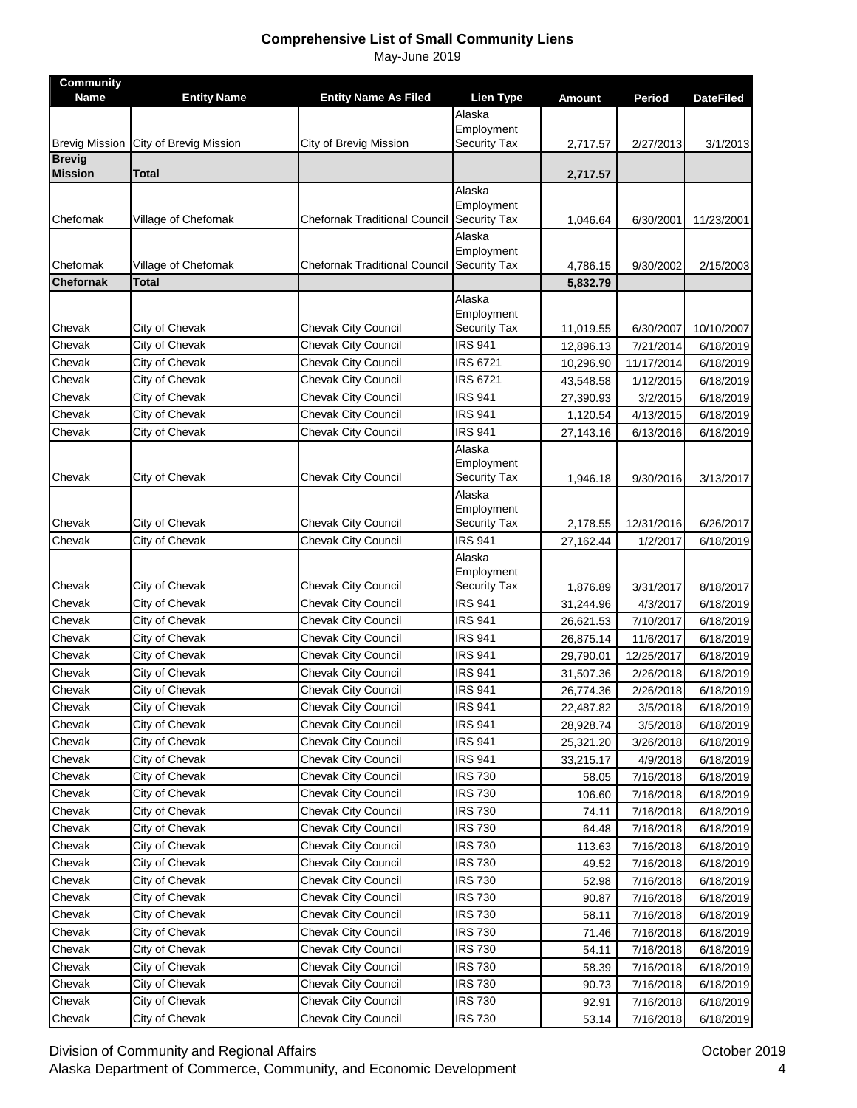| <b>Community</b><br><b>Name</b> | <b>Entity Name</b>               | <b>Entity Name As Filed</b>                | Lien Type                      | <b>Amount</b> | Period                 | <b>DateFiled</b> |
|---------------------------------|----------------------------------|--------------------------------------------|--------------------------------|---------------|------------------------|------------------|
|                                 |                                  |                                            | Alaska                         |               |                        |                  |
|                                 |                                  |                                            | Employment                     |               |                        |                  |
| <b>Brevig Mission</b>           | City of Brevig Mission           | City of Brevig Mission                     | <b>Security Tax</b>            | 2,717.57      | 2/27/2013              | 3/1/2013         |
| <b>Brevig</b><br><b>Mission</b> | Total                            |                                            |                                | 2,717.57      |                        |                  |
|                                 |                                  |                                            | Alaska                         |               |                        |                  |
|                                 |                                  |                                            | Employment                     |               |                        |                  |
| Chefornak                       | Village of Chefornak             | <b>Chefornak Traditional Council</b>       | <b>Security Tax</b>            | 1,046.64      | 6/30/2001              | 11/23/2001       |
|                                 |                                  |                                            | Alaska                         |               |                        |                  |
|                                 |                                  |                                            | Employment                     |               |                        |                  |
| Chefornak                       | Village of Chefornak             | Chefornak Traditional Council              | <b>Security Tax</b>            | 4,786.15      | 9/30/2002              | 2/15/2003        |
| Chefornak                       | Total                            |                                            |                                | 5,832.79      |                        |                  |
|                                 |                                  |                                            | Alaska<br>Employment           |               |                        |                  |
| Chevak                          | City of Chevak                   | Chevak City Council                        | Security Tax                   | 11,019.55     | 6/30/2007              | 10/10/2007       |
| Chevak                          | City of Chevak                   | Chevak City Council                        | <b>IRS 941</b>                 | 12,896.13     | 7/21/2014              | 6/18/2019        |
| Chevak                          | City of Chevak                   | Chevak City Council                        | <b>IRS 6721</b>                | 10,296.90     | 11/17/2014             | 6/18/2019        |
| Chevak                          | City of Chevak                   | Chevak City Council                        | <b>IRS 6721</b>                | 43,548.58     | 1/12/2015              | 6/18/2019        |
| Chevak                          | City of Chevak                   | Chevak City Council                        | <b>IRS 941</b>                 | 27,390.93     | 3/2/2015               | 6/18/2019        |
| Chevak                          | City of Chevak                   | Chevak City Council                        | <b>IRS 941</b>                 | 1,120.54      | 4/13/2015              | 6/18/2019        |
| Chevak                          | City of Chevak                   | <b>Chevak City Council</b>                 | <b>IRS 941</b>                 | 27,143.16     | 6/13/2016              | 6/18/2019        |
|                                 |                                  |                                            | Alaska                         |               |                        |                  |
|                                 |                                  |                                            | Employment                     |               |                        |                  |
| Chevak                          | City of Chevak                   | <b>Chevak City Council</b>                 | <b>Security Tax</b>            | 1,946.18      | 9/30/2016              | 3/13/2017        |
|                                 |                                  |                                            | Alaska                         |               |                        |                  |
|                                 |                                  |                                            | Employment                     |               |                        |                  |
| Chevak<br>Chevak                | City of Chevak<br>City of Chevak | Chevak City Council<br>Chevak City Council | Security Tax<br><b>IRS 941</b> | 2,178.55      | 12/31/2016<br>1/2/2017 | 6/26/2017        |
|                                 |                                  |                                            | Alaska                         | 27,162.44     |                        | 6/18/2019        |
|                                 |                                  |                                            | Employment                     |               |                        |                  |
| Chevak                          | City of Chevak                   | <b>Chevak City Council</b>                 | Security Tax                   | 1,876.89      | 3/31/2017              | 8/18/2017        |
| Chevak                          | City of Chevak                   | Chevak City Council                        | <b>IRS 941</b>                 | 31,244.96     | 4/3/2017               | 6/18/2019        |
| Chevak                          | City of Chevak                   | Chevak City Council                        | <b>IRS 941</b>                 | 26,621.53     | 7/10/2017              | 6/18/2019        |
| Chevak                          | City of Chevak                   | Chevak City Council                        | <b>IRS 941</b>                 | 26,875.14     | 11/6/2017              | 6/18/2019        |
| Chevak                          | City of Chevak                   | Chevak City Council                        | <b>IRS 941</b>                 | 29,790.01     | 12/25/2017             | 6/18/2019        |
| Chevak                          | City of Chevak                   | <b>Chevak City Council</b>                 | <b>IRS 941</b>                 | 31,507.36     | 2/26/2018              | 6/18/2019        |
| Chevak                          | City of Chevak                   | Chevak City Council                        | <b>IRS 941</b>                 | 26,774.36     | 2/26/2018              | 6/18/2019        |
| Chevak                          | City of Chevak                   | Chevak City Council                        | <b>IRS 941</b>                 | 22,487.82     | 3/5/2018               | 6/18/2019        |
| Chevak                          | City of Chevak                   | <b>Chevak City Council</b>                 | <b>IRS 941</b>                 | 28,928.74     | 3/5/2018               | 6/18/2019        |
| Chevak                          | City of Chevak                   | <b>Chevak City Council</b>                 | <b>IRS 941</b>                 | 25,321.20     | 3/26/2018              | 6/18/2019        |
| Chevak                          | City of Chevak                   | Chevak City Council                        | <b>IRS 941</b>                 | 33,215.17     | 4/9/2018               | 6/18/2019        |
| Chevak                          | City of Chevak                   | <b>Chevak City Council</b>                 | <b>IRS 730</b>                 | 58.05         | 7/16/2018              | 6/18/2019        |
| Chevak                          | City of Chevak                   | Chevak City Council                        | <b>IRS 730</b>                 | 106.60        | 7/16/2018              | 6/18/2019        |
| Chevak                          | City of Chevak                   | Chevak City Council                        | <b>IRS 730</b>                 | 74.11         | 7/16/2018              | 6/18/2019        |
| Chevak                          | City of Chevak                   | <b>Chevak City Council</b>                 | <b>IRS 730</b>                 | 64.48         | 7/16/2018              | 6/18/2019        |
| Chevak                          | City of Chevak                   | Chevak City Council                        | <b>IRS 730</b>                 | 113.63        | 7/16/2018              | 6/18/2019        |
| Chevak                          | City of Chevak                   | Chevak City Council                        | <b>IRS 730</b>                 | 49.52         | 7/16/2018              | 6/18/2019        |
| Chevak                          | City of Chevak                   | <b>Chevak City Council</b>                 | <b>IRS 730</b>                 | 52.98         | 7/16/2018              | 6/18/2019        |
| Chevak                          | City of Chevak                   | Chevak City Council                        | <b>IRS 730</b>                 | 90.87         | 7/16/2018              | 6/18/2019        |
| Chevak                          | City of Chevak                   | <b>Chevak City Council</b>                 | <b>IRS 730</b>                 | 58.11         | 7/16/2018              | 6/18/2019        |
| Chevak                          | City of Chevak                   | Chevak City Council                        | <b>IRS 730</b>                 | 71.46         | 7/16/2018              | 6/18/2019        |
| Chevak                          | City of Chevak                   | <b>Chevak City Council</b>                 | <b>IRS 730</b>                 | 54.11         | 7/16/2018              | 6/18/2019        |
| Chevak                          | City of Chevak                   | <b>Chevak City Council</b>                 | <b>IRS 730</b>                 | 58.39         | 7/16/2018              | 6/18/2019        |
| Chevak                          | City of Chevak                   | <b>Chevak City Council</b>                 | <b>IRS 730</b>                 | 90.73         | 7/16/2018              | 6/18/2019        |
| Chevak                          | City of Chevak                   | Chevak City Council                        | <b>IRS 730</b>                 | 92.91         | 7/16/2018              | 6/18/2019        |
| Chevak                          | City of Chevak                   | Chevak City Council                        | <b>IRS 730</b>                 | 53.14         | 7/16/2018              | 6/18/2019        |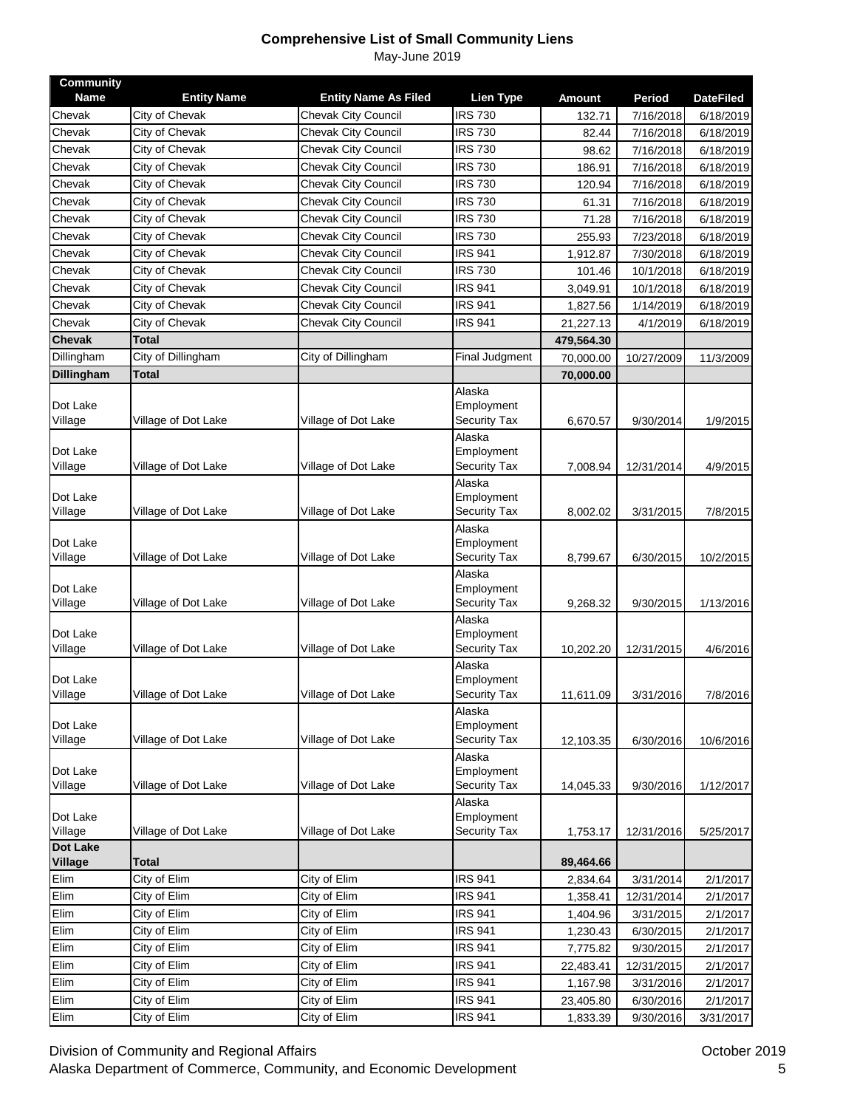| Chevak<br><b>IRS 730</b><br>City of Chevak<br><b>Chevak City Council</b><br>7/16/2018<br>6/18/2019<br>132.71<br><b>Chevak City Council</b><br><b>IRS 730</b><br>Chevak<br>City of Chevak<br>7/16/2018<br>6/18/2019<br>82.44<br>City of Chevak<br><b>Chevak City Council</b><br><b>IRS 730</b><br>Chevak<br>98.62<br>7/16/2018<br>6/18/2019<br><b>IRS 730</b><br>Chevak<br>City of Chevak<br>Chevak City Council<br>7/16/2018<br>186.91<br>6/18/2019<br>Chevak<br>City of Chevak<br>Chevak City Council<br><b>IRS 730</b><br>7/16/2018<br>6/18/2019<br>120.94<br><b>IRS 730</b><br>City of Chevak<br>Chevak City Council<br>Chevak<br>7/16/2018<br>6/18/2019<br>61.31<br>City of Chevak<br>Chevak City Council<br><b>IRS 730</b><br>Chevak<br>71.28<br>7/16/2018<br>6/18/2019<br><b>IRS 730</b><br>Chevak<br>City of Chevak<br><b>Chevak City Council</b><br>7/23/2018<br>255.93<br>6/18/2019<br><b>IRS 941</b><br>Chevak<br>City of Chevak<br><b>Chevak City Council</b><br>1,912.87<br>7/30/2018<br>6/18/2019<br>City of Chevak<br><b>Chevak City Council</b><br><b>IRS 730</b><br>Chevak<br>10/1/2018<br>6/18/2019<br>101.46<br>City of Chevak<br><b>Chevak City Council</b><br><b>IRS 941</b><br>Chevak<br>10/1/2018<br>3,049.91<br>6/18/2019<br>City of Chevak<br><b>Chevak City Council</b><br><b>IRS 941</b><br>Chevak<br>1,827.56<br>1/14/2019<br>6/18/2019<br>City of Chevak<br><b>Chevak City Council</b><br><b>IRS 941</b><br>Chevak<br>21,227.13<br>4/1/2019<br>6/18/2019<br>Chevak<br>Total<br>479,564.30<br>City of Dillingham<br>Dillingham<br>City of Dillingham<br><b>Final Judgment</b><br>70,000.00<br>10/27/2009<br>11/3/2009<br><b>Dillingham</b><br>Total<br>70,000.00<br>Alaska<br>Dot Lake<br>Employment<br>Village of Dot Lake<br>Village of Dot Lake<br>Security Tax<br>Village<br>6,670.57<br>9/30/2014<br>1/9/2015<br>Alaska<br>Dot Lake<br>Employment<br>Security Tax<br>Village of Dot Lake<br>Village of Dot Lake<br>Village<br>12/31/2014<br>4/9/2015<br>7,008.94<br>Alaska<br>Employment<br>Village of Dot Lake<br>Village of Dot Lake<br><b>Security Tax</b><br>Village<br>8,002.02<br>3/31/2015<br>7/8/2015<br>Alaska<br>Dot Lake<br>Employment<br>Village of Dot Lake<br>Village of Dot Lake<br>Security Tax<br>Village<br>6/30/2015<br>8,799.67<br>10/2/2015<br>Alaska<br>Dot Lake<br>Employment<br>Village of Dot Lake<br>Village of Dot Lake<br><b>Security Tax</b><br>Village<br>9/30/2015<br>1/13/2016<br>9,268.32<br>Alaska<br>Dot Lake<br>Employment<br>Village of Dot Lake<br>Security Tax<br>Village<br>Village of Dot Lake<br>10,202.20<br>12/31/2015<br>4/6/2016<br>Alaska<br>Dot Lake<br>Employment<br>Village of Dot Lake<br>Village of Dot Lake<br>Security Tax<br>Village<br>11,611.09<br>3/31/2016<br>7/8/2016<br>Alaska<br>Employment<br>Village<br>Village of Dot Lake<br>Village of Dot Lake<br><b>Security Tax</b><br>6/30/2016<br>10/6/2016<br>12,103.35<br>Alaska<br>Dot Lake<br>Employment<br>Village<br>Village of Dot Lake<br>Village of Dot Lake<br>Security Tax<br>14,045.33<br>9/30/2016<br>1/12/2017<br>Alaska<br>Dot Lake<br>Employment<br>Village<br>Village of Dot Lake<br>Village of Dot Lake<br>Security Tax<br>5/25/2017<br>1,753.17<br>12/31/2016<br><b>Dot Lake</b><br>Village<br>Total<br>89,464.66<br>City of Elim<br>City of Elim<br><b>IRS 941</b><br>2,834.64<br>3/31/2014<br>2/1/2017<br><b>IRS 941</b><br>City of Elim<br>City of Elim<br>1,358.41<br>12/31/2014<br>2/1/2017<br><b>IRS 941</b><br>City of Elim<br>City of Elim<br>1,404.96<br>3/31/2015<br>2/1/2017<br><b>IRS 941</b><br>City of Elim<br>6/30/2015<br>City of Elim<br>1,230.43<br>2/1/2017<br><b>IRS 941</b><br>City of Elim<br>City of Elim<br>9/30/2015<br>7,775.82<br>2/1/2017<br><b>IRS 941</b><br>City of Elim<br>City of Elim<br>12/31/2015<br>2/1/2017<br>22,483.41<br><b>IRS 941</b><br>City of Elim<br>City of Elim<br>1,167.98<br>3/31/2016<br>2/1/2017<br><b>IRS 941</b><br>City of Elim<br>City of Elim<br>23,405.80<br>6/30/2016<br>2/1/2017<br><b>IRS 941</b><br>City of Elim<br>City of Elim<br>1,833.39<br>9/30/2016<br>3/31/2017 | <b>Community</b> |                    |                             |                  |               |        |                  |
|--------------------------------------------------------------------------------------------------------------------------------------------------------------------------------------------------------------------------------------------------------------------------------------------------------------------------------------------------------------------------------------------------------------------------------------------------------------------------------------------------------------------------------------------------------------------------------------------------------------------------------------------------------------------------------------------------------------------------------------------------------------------------------------------------------------------------------------------------------------------------------------------------------------------------------------------------------------------------------------------------------------------------------------------------------------------------------------------------------------------------------------------------------------------------------------------------------------------------------------------------------------------------------------------------------------------------------------------------------------------------------------------------------------------------------------------------------------------------------------------------------------------------------------------------------------------------------------------------------------------------------------------------------------------------------------------------------------------------------------------------------------------------------------------------------------------------------------------------------------------------------------------------------------------------------------------------------------------------------------------------------------------------------------------------------------------------------------------------------------------------------------------------------------------------------------------------------------------------------------------------------------------------------------------------------------------------------------------------------------------------------------------------------------------------------------------------------------------------------------------------------------------------------------------------------------------------------------------------------------------------------------------------------------------------------------------------------------------------------------------------------------------------------------------------------------------------------------------------------------------------------------------------------------------------------------------------------------------------------------------------------------------------------------------------------------------------------------------------------------------------------------------------------------------------------------------------------------------------------------------------------------------------------------------------------------------------------------------------------------------------------------------------------------------------------------------------------------------------------------------------------------------------------------------------------------------------------------------------------------------------------------------------------------------------------------------------------------------------------------------------------------------------------------------------------------------------------------------------------------------------------------------------------------------------------------------------------------------------------------------------------------------------------------------------------------------------------------------------|------------------|--------------------|-----------------------------|------------------|---------------|--------|------------------|
|                                                                                                                                                                                                                                                                                                                                                                                                                                                                                                                                                                                                                                                                                                                                                                                                                                                                                                                                                                                                                                                                                                                                                                                                                                                                                                                                                                                                                                                                                                                                                                                                                                                                                                                                                                                                                                                                                                                                                                                                                                                                                                                                                                                                                                                                                                                                                                                                                                                                                                                                                                                                                                                                                                                                                                                                                                                                                                                                                                                                                                                                                                                                                                                                                                                                                                                                                                                                                                                                                                                                                                                                                                                                                                                                                                                                                                                                                                                                                                                                                                                                                                  | <b>Name</b>      | <b>Entity Name</b> | <b>Entity Name As Filed</b> | <b>Lien Type</b> | <b>Amount</b> | Period | <b>DateFiled</b> |
|                                                                                                                                                                                                                                                                                                                                                                                                                                                                                                                                                                                                                                                                                                                                                                                                                                                                                                                                                                                                                                                                                                                                                                                                                                                                                                                                                                                                                                                                                                                                                                                                                                                                                                                                                                                                                                                                                                                                                                                                                                                                                                                                                                                                                                                                                                                                                                                                                                                                                                                                                                                                                                                                                                                                                                                                                                                                                                                                                                                                                                                                                                                                                                                                                                                                                                                                                                                                                                                                                                                                                                                                                                                                                                                                                                                                                                                                                                                                                                                                                                                                                                  |                  |                    |                             |                  |               |        |                  |
|                                                                                                                                                                                                                                                                                                                                                                                                                                                                                                                                                                                                                                                                                                                                                                                                                                                                                                                                                                                                                                                                                                                                                                                                                                                                                                                                                                                                                                                                                                                                                                                                                                                                                                                                                                                                                                                                                                                                                                                                                                                                                                                                                                                                                                                                                                                                                                                                                                                                                                                                                                                                                                                                                                                                                                                                                                                                                                                                                                                                                                                                                                                                                                                                                                                                                                                                                                                                                                                                                                                                                                                                                                                                                                                                                                                                                                                                                                                                                                                                                                                                                                  |                  |                    |                             |                  |               |        |                  |
|                                                                                                                                                                                                                                                                                                                                                                                                                                                                                                                                                                                                                                                                                                                                                                                                                                                                                                                                                                                                                                                                                                                                                                                                                                                                                                                                                                                                                                                                                                                                                                                                                                                                                                                                                                                                                                                                                                                                                                                                                                                                                                                                                                                                                                                                                                                                                                                                                                                                                                                                                                                                                                                                                                                                                                                                                                                                                                                                                                                                                                                                                                                                                                                                                                                                                                                                                                                                                                                                                                                                                                                                                                                                                                                                                                                                                                                                                                                                                                                                                                                                                                  |                  |                    |                             |                  |               |        |                  |
|                                                                                                                                                                                                                                                                                                                                                                                                                                                                                                                                                                                                                                                                                                                                                                                                                                                                                                                                                                                                                                                                                                                                                                                                                                                                                                                                                                                                                                                                                                                                                                                                                                                                                                                                                                                                                                                                                                                                                                                                                                                                                                                                                                                                                                                                                                                                                                                                                                                                                                                                                                                                                                                                                                                                                                                                                                                                                                                                                                                                                                                                                                                                                                                                                                                                                                                                                                                                                                                                                                                                                                                                                                                                                                                                                                                                                                                                                                                                                                                                                                                                                                  |                  |                    |                             |                  |               |        |                  |
|                                                                                                                                                                                                                                                                                                                                                                                                                                                                                                                                                                                                                                                                                                                                                                                                                                                                                                                                                                                                                                                                                                                                                                                                                                                                                                                                                                                                                                                                                                                                                                                                                                                                                                                                                                                                                                                                                                                                                                                                                                                                                                                                                                                                                                                                                                                                                                                                                                                                                                                                                                                                                                                                                                                                                                                                                                                                                                                                                                                                                                                                                                                                                                                                                                                                                                                                                                                                                                                                                                                                                                                                                                                                                                                                                                                                                                                                                                                                                                                                                                                                                                  |                  |                    |                             |                  |               |        |                  |
|                                                                                                                                                                                                                                                                                                                                                                                                                                                                                                                                                                                                                                                                                                                                                                                                                                                                                                                                                                                                                                                                                                                                                                                                                                                                                                                                                                                                                                                                                                                                                                                                                                                                                                                                                                                                                                                                                                                                                                                                                                                                                                                                                                                                                                                                                                                                                                                                                                                                                                                                                                                                                                                                                                                                                                                                                                                                                                                                                                                                                                                                                                                                                                                                                                                                                                                                                                                                                                                                                                                                                                                                                                                                                                                                                                                                                                                                                                                                                                                                                                                                                                  |                  |                    |                             |                  |               |        |                  |
|                                                                                                                                                                                                                                                                                                                                                                                                                                                                                                                                                                                                                                                                                                                                                                                                                                                                                                                                                                                                                                                                                                                                                                                                                                                                                                                                                                                                                                                                                                                                                                                                                                                                                                                                                                                                                                                                                                                                                                                                                                                                                                                                                                                                                                                                                                                                                                                                                                                                                                                                                                                                                                                                                                                                                                                                                                                                                                                                                                                                                                                                                                                                                                                                                                                                                                                                                                                                                                                                                                                                                                                                                                                                                                                                                                                                                                                                                                                                                                                                                                                                                                  |                  |                    |                             |                  |               |        |                  |
|                                                                                                                                                                                                                                                                                                                                                                                                                                                                                                                                                                                                                                                                                                                                                                                                                                                                                                                                                                                                                                                                                                                                                                                                                                                                                                                                                                                                                                                                                                                                                                                                                                                                                                                                                                                                                                                                                                                                                                                                                                                                                                                                                                                                                                                                                                                                                                                                                                                                                                                                                                                                                                                                                                                                                                                                                                                                                                                                                                                                                                                                                                                                                                                                                                                                                                                                                                                                                                                                                                                                                                                                                                                                                                                                                                                                                                                                                                                                                                                                                                                                                                  |                  |                    |                             |                  |               |        |                  |
|                                                                                                                                                                                                                                                                                                                                                                                                                                                                                                                                                                                                                                                                                                                                                                                                                                                                                                                                                                                                                                                                                                                                                                                                                                                                                                                                                                                                                                                                                                                                                                                                                                                                                                                                                                                                                                                                                                                                                                                                                                                                                                                                                                                                                                                                                                                                                                                                                                                                                                                                                                                                                                                                                                                                                                                                                                                                                                                                                                                                                                                                                                                                                                                                                                                                                                                                                                                                                                                                                                                                                                                                                                                                                                                                                                                                                                                                                                                                                                                                                                                                                                  |                  |                    |                             |                  |               |        |                  |
|                                                                                                                                                                                                                                                                                                                                                                                                                                                                                                                                                                                                                                                                                                                                                                                                                                                                                                                                                                                                                                                                                                                                                                                                                                                                                                                                                                                                                                                                                                                                                                                                                                                                                                                                                                                                                                                                                                                                                                                                                                                                                                                                                                                                                                                                                                                                                                                                                                                                                                                                                                                                                                                                                                                                                                                                                                                                                                                                                                                                                                                                                                                                                                                                                                                                                                                                                                                                                                                                                                                                                                                                                                                                                                                                                                                                                                                                                                                                                                                                                                                                                                  |                  |                    |                             |                  |               |        |                  |
|                                                                                                                                                                                                                                                                                                                                                                                                                                                                                                                                                                                                                                                                                                                                                                                                                                                                                                                                                                                                                                                                                                                                                                                                                                                                                                                                                                                                                                                                                                                                                                                                                                                                                                                                                                                                                                                                                                                                                                                                                                                                                                                                                                                                                                                                                                                                                                                                                                                                                                                                                                                                                                                                                                                                                                                                                                                                                                                                                                                                                                                                                                                                                                                                                                                                                                                                                                                                                                                                                                                                                                                                                                                                                                                                                                                                                                                                                                                                                                                                                                                                                                  |                  |                    |                             |                  |               |        |                  |
|                                                                                                                                                                                                                                                                                                                                                                                                                                                                                                                                                                                                                                                                                                                                                                                                                                                                                                                                                                                                                                                                                                                                                                                                                                                                                                                                                                                                                                                                                                                                                                                                                                                                                                                                                                                                                                                                                                                                                                                                                                                                                                                                                                                                                                                                                                                                                                                                                                                                                                                                                                                                                                                                                                                                                                                                                                                                                                                                                                                                                                                                                                                                                                                                                                                                                                                                                                                                                                                                                                                                                                                                                                                                                                                                                                                                                                                                                                                                                                                                                                                                                                  |                  |                    |                             |                  |               |        |                  |
|                                                                                                                                                                                                                                                                                                                                                                                                                                                                                                                                                                                                                                                                                                                                                                                                                                                                                                                                                                                                                                                                                                                                                                                                                                                                                                                                                                                                                                                                                                                                                                                                                                                                                                                                                                                                                                                                                                                                                                                                                                                                                                                                                                                                                                                                                                                                                                                                                                                                                                                                                                                                                                                                                                                                                                                                                                                                                                                                                                                                                                                                                                                                                                                                                                                                                                                                                                                                                                                                                                                                                                                                                                                                                                                                                                                                                                                                                                                                                                                                                                                                                                  |                  |                    |                             |                  |               |        |                  |
|                                                                                                                                                                                                                                                                                                                                                                                                                                                                                                                                                                                                                                                                                                                                                                                                                                                                                                                                                                                                                                                                                                                                                                                                                                                                                                                                                                                                                                                                                                                                                                                                                                                                                                                                                                                                                                                                                                                                                                                                                                                                                                                                                                                                                                                                                                                                                                                                                                                                                                                                                                                                                                                                                                                                                                                                                                                                                                                                                                                                                                                                                                                                                                                                                                                                                                                                                                                                                                                                                                                                                                                                                                                                                                                                                                                                                                                                                                                                                                                                                                                                                                  |                  |                    |                             |                  |               |        |                  |
|                                                                                                                                                                                                                                                                                                                                                                                                                                                                                                                                                                                                                                                                                                                                                                                                                                                                                                                                                                                                                                                                                                                                                                                                                                                                                                                                                                                                                                                                                                                                                                                                                                                                                                                                                                                                                                                                                                                                                                                                                                                                                                                                                                                                                                                                                                                                                                                                                                                                                                                                                                                                                                                                                                                                                                                                                                                                                                                                                                                                                                                                                                                                                                                                                                                                                                                                                                                                                                                                                                                                                                                                                                                                                                                                                                                                                                                                                                                                                                                                                                                                                                  |                  |                    |                             |                  |               |        |                  |
|                                                                                                                                                                                                                                                                                                                                                                                                                                                                                                                                                                                                                                                                                                                                                                                                                                                                                                                                                                                                                                                                                                                                                                                                                                                                                                                                                                                                                                                                                                                                                                                                                                                                                                                                                                                                                                                                                                                                                                                                                                                                                                                                                                                                                                                                                                                                                                                                                                                                                                                                                                                                                                                                                                                                                                                                                                                                                                                                                                                                                                                                                                                                                                                                                                                                                                                                                                                                                                                                                                                                                                                                                                                                                                                                                                                                                                                                                                                                                                                                                                                                                                  |                  |                    |                             |                  |               |        |                  |
|                                                                                                                                                                                                                                                                                                                                                                                                                                                                                                                                                                                                                                                                                                                                                                                                                                                                                                                                                                                                                                                                                                                                                                                                                                                                                                                                                                                                                                                                                                                                                                                                                                                                                                                                                                                                                                                                                                                                                                                                                                                                                                                                                                                                                                                                                                                                                                                                                                                                                                                                                                                                                                                                                                                                                                                                                                                                                                                                                                                                                                                                                                                                                                                                                                                                                                                                                                                                                                                                                                                                                                                                                                                                                                                                                                                                                                                                                                                                                                                                                                                                                                  |                  |                    |                             |                  |               |        |                  |
|                                                                                                                                                                                                                                                                                                                                                                                                                                                                                                                                                                                                                                                                                                                                                                                                                                                                                                                                                                                                                                                                                                                                                                                                                                                                                                                                                                                                                                                                                                                                                                                                                                                                                                                                                                                                                                                                                                                                                                                                                                                                                                                                                                                                                                                                                                                                                                                                                                                                                                                                                                                                                                                                                                                                                                                                                                                                                                                                                                                                                                                                                                                                                                                                                                                                                                                                                                                                                                                                                                                                                                                                                                                                                                                                                                                                                                                                                                                                                                                                                                                                                                  |                  |                    |                             |                  |               |        |                  |
|                                                                                                                                                                                                                                                                                                                                                                                                                                                                                                                                                                                                                                                                                                                                                                                                                                                                                                                                                                                                                                                                                                                                                                                                                                                                                                                                                                                                                                                                                                                                                                                                                                                                                                                                                                                                                                                                                                                                                                                                                                                                                                                                                                                                                                                                                                                                                                                                                                                                                                                                                                                                                                                                                                                                                                                                                                                                                                                                                                                                                                                                                                                                                                                                                                                                                                                                                                                                                                                                                                                                                                                                                                                                                                                                                                                                                                                                                                                                                                                                                                                                                                  |                  |                    |                             |                  |               |        |                  |
|                                                                                                                                                                                                                                                                                                                                                                                                                                                                                                                                                                                                                                                                                                                                                                                                                                                                                                                                                                                                                                                                                                                                                                                                                                                                                                                                                                                                                                                                                                                                                                                                                                                                                                                                                                                                                                                                                                                                                                                                                                                                                                                                                                                                                                                                                                                                                                                                                                                                                                                                                                                                                                                                                                                                                                                                                                                                                                                                                                                                                                                                                                                                                                                                                                                                                                                                                                                                                                                                                                                                                                                                                                                                                                                                                                                                                                                                                                                                                                                                                                                                                                  |                  |                    |                             |                  |               |        |                  |
|                                                                                                                                                                                                                                                                                                                                                                                                                                                                                                                                                                                                                                                                                                                                                                                                                                                                                                                                                                                                                                                                                                                                                                                                                                                                                                                                                                                                                                                                                                                                                                                                                                                                                                                                                                                                                                                                                                                                                                                                                                                                                                                                                                                                                                                                                                                                                                                                                                                                                                                                                                                                                                                                                                                                                                                                                                                                                                                                                                                                                                                                                                                                                                                                                                                                                                                                                                                                                                                                                                                                                                                                                                                                                                                                                                                                                                                                                                                                                                                                                                                                                                  |                  |                    |                             |                  |               |        |                  |
|                                                                                                                                                                                                                                                                                                                                                                                                                                                                                                                                                                                                                                                                                                                                                                                                                                                                                                                                                                                                                                                                                                                                                                                                                                                                                                                                                                                                                                                                                                                                                                                                                                                                                                                                                                                                                                                                                                                                                                                                                                                                                                                                                                                                                                                                                                                                                                                                                                                                                                                                                                                                                                                                                                                                                                                                                                                                                                                                                                                                                                                                                                                                                                                                                                                                                                                                                                                                                                                                                                                                                                                                                                                                                                                                                                                                                                                                                                                                                                                                                                                                                                  |                  |                    |                             |                  |               |        |                  |
|                                                                                                                                                                                                                                                                                                                                                                                                                                                                                                                                                                                                                                                                                                                                                                                                                                                                                                                                                                                                                                                                                                                                                                                                                                                                                                                                                                                                                                                                                                                                                                                                                                                                                                                                                                                                                                                                                                                                                                                                                                                                                                                                                                                                                                                                                                                                                                                                                                                                                                                                                                                                                                                                                                                                                                                                                                                                                                                                                                                                                                                                                                                                                                                                                                                                                                                                                                                                                                                                                                                                                                                                                                                                                                                                                                                                                                                                                                                                                                                                                                                                                                  | Dot Lake         |                    |                             |                  |               |        |                  |
|                                                                                                                                                                                                                                                                                                                                                                                                                                                                                                                                                                                                                                                                                                                                                                                                                                                                                                                                                                                                                                                                                                                                                                                                                                                                                                                                                                                                                                                                                                                                                                                                                                                                                                                                                                                                                                                                                                                                                                                                                                                                                                                                                                                                                                                                                                                                                                                                                                                                                                                                                                                                                                                                                                                                                                                                                                                                                                                                                                                                                                                                                                                                                                                                                                                                                                                                                                                                                                                                                                                                                                                                                                                                                                                                                                                                                                                                                                                                                                                                                                                                                                  |                  |                    |                             |                  |               |        |                  |
|                                                                                                                                                                                                                                                                                                                                                                                                                                                                                                                                                                                                                                                                                                                                                                                                                                                                                                                                                                                                                                                                                                                                                                                                                                                                                                                                                                                                                                                                                                                                                                                                                                                                                                                                                                                                                                                                                                                                                                                                                                                                                                                                                                                                                                                                                                                                                                                                                                                                                                                                                                                                                                                                                                                                                                                                                                                                                                                                                                                                                                                                                                                                                                                                                                                                                                                                                                                                                                                                                                                                                                                                                                                                                                                                                                                                                                                                                                                                                                                                                                                                                                  |                  |                    |                             |                  |               |        |                  |
|                                                                                                                                                                                                                                                                                                                                                                                                                                                                                                                                                                                                                                                                                                                                                                                                                                                                                                                                                                                                                                                                                                                                                                                                                                                                                                                                                                                                                                                                                                                                                                                                                                                                                                                                                                                                                                                                                                                                                                                                                                                                                                                                                                                                                                                                                                                                                                                                                                                                                                                                                                                                                                                                                                                                                                                                                                                                                                                                                                                                                                                                                                                                                                                                                                                                                                                                                                                                                                                                                                                                                                                                                                                                                                                                                                                                                                                                                                                                                                                                                                                                                                  |                  |                    |                             |                  |               |        |                  |
|                                                                                                                                                                                                                                                                                                                                                                                                                                                                                                                                                                                                                                                                                                                                                                                                                                                                                                                                                                                                                                                                                                                                                                                                                                                                                                                                                                                                                                                                                                                                                                                                                                                                                                                                                                                                                                                                                                                                                                                                                                                                                                                                                                                                                                                                                                                                                                                                                                                                                                                                                                                                                                                                                                                                                                                                                                                                                                                                                                                                                                                                                                                                                                                                                                                                                                                                                                                                                                                                                                                                                                                                                                                                                                                                                                                                                                                                                                                                                                                                                                                                                                  |                  |                    |                             |                  |               |        |                  |
|                                                                                                                                                                                                                                                                                                                                                                                                                                                                                                                                                                                                                                                                                                                                                                                                                                                                                                                                                                                                                                                                                                                                                                                                                                                                                                                                                                                                                                                                                                                                                                                                                                                                                                                                                                                                                                                                                                                                                                                                                                                                                                                                                                                                                                                                                                                                                                                                                                                                                                                                                                                                                                                                                                                                                                                                                                                                                                                                                                                                                                                                                                                                                                                                                                                                                                                                                                                                                                                                                                                                                                                                                                                                                                                                                                                                                                                                                                                                                                                                                                                                                                  |                  |                    |                             |                  |               |        |                  |
|                                                                                                                                                                                                                                                                                                                                                                                                                                                                                                                                                                                                                                                                                                                                                                                                                                                                                                                                                                                                                                                                                                                                                                                                                                                                                                                                                                                                                                                                                                                                                                                                                                                                                                                                                                                                                                                                                                                                                                                                                                                                                                                                                                                                                                                                                                                                                                                                                                                                                                                                                                                                                                                                                                                                                                                                                                                                                                                                                                                                                                                                                                                                                                                                                                                                                                                                                                                                                                                                                                                                                                                                                                                                                                                                                                                                                                                                                                                                                                                                                                                                                                  |                  |                    |                             |                  |               |        |                  |
|                                                                                                                                                                                                                                                                                                                                                                                                                                                                                                                                                                                                                                                                                                                                                                                                                                                                                                                                                                                                                                                                                                                                                                                                                                                                                                                                                                                                                                                                                                                                                                                                                                                                                                                                                                                                                                                                                                                                                                                                                                                                                                                                                                                                                                                                                                                                                                                                                                                                                                                                                                                                                                                                                                                                                                                                                                                                                                                                                                                                                                                                                                                                                                                                                                                                                                                                                                                                                                                                                                                                                                                                                                                                                                                                                                                                                                                                                                                                                                                                                                                                                                  |                  |                    |                             |                  |               |        |                  |
|                                                                                                                                                                                                                                                                                                                                                                                                                                                                                                                                                                                                                                                                                                                                                                                                                                                                                                                                                                                                                                                                                                                                                                                                                                                                                                                                                                                                                                                                                                                                                                                                                                                                                                                                                                                                                                                                                                                                                                                                                                                                                                                                                                                                                                                                                                                                                                                                                                                                                                                                                                                                                                                                                                                                                                                                                                                                                                                                                                                                                                                                                                                                                                                                                                                                                                                                                                                                                                                                                                                                                                                                                                                                                                                                                                                                                                                                                                                                                                                                                                                                                                  |                  |                    |                             |                  |               |        |                  |
|                                                                                                                                                                                                                                                                                                                                                                                                                                                                                                                                                                                                                                                                                                                                                                                                                                                                                                                                                                                                                                                                                                                                                                                                                                                                                                                                                                                                                                                                                                                                                                                                                                                                                                                                                                                                                                                                                                                                                                                                                                                                                                                                                                                                                                                                                                                                                                                                                                                                                                                                                                                                                                                                                                                                                                                                                                                                                                                                                                                                                                                                                                                                                                                                                                                                                                                                                                                                                                                                                                                                                                                                                                                                                                                                                                                                                                                                                                                                                                                                                                                                                                  |                  |                    |                             |                  |               |        |                  |
|                                                                                                                                                                                                                                                                                                                                                                                                                                                                                                                                                                                                                                                                                                                                                                                                                                                                                                                                                                                                                                                                                                                                                                                                                                                                                                                                                                                                                                                                                                                                                                                                                                                                                                                                                                                                                                                                                                                                                                                                                                                                                                                                                                                                                                                                                                                                                                                                                                                                                                                                                                                                                                                                                                                                                                                                                                                                                                                                                                                                                                                                                                                                                                                                                                                                                                                                                                                                                                                                                                                                                                                                                                                                                                                                                                                                                                                                                                                                                                                                                                                                                                  |                  |                    |                             |                  |               |        |                  |
|                                                                                                                                                                                                                                                                                                                                                                                                                                                                                                                                                                                                                                                                                                                                                                                                                                                                                                                                                                                                                                                                                                                                                                                                                                                                                                                                                                                                                                                                                                                                                                                                                                                                                                                                                                                                                                                                                                                                                                                                                                                                                                                                                                                                                                                                                                                                                                                                                                                                                                                                                                                                                                                                                                                                                                                                                                                                                                                                                                                                                                                                                                                                                                                                                                                                                                                                                                                                                                                                                                                                                                                                                                                                                                                                                                                                                                                                                                                                                                                                                                                                                                  |                  |                    |                             |                  |               |        |                  |
|                                                                                                                                                                                                                                                                                                                                                                                                                                                                                                                                                                                                                                                                                                                                                                                                                                                                                                                                                                                                                                                                                                                                                                                                                                                                                                                                                                                                                                                                                                                                                                                                                                                                                                                                                                                                                                                                                                                                                                                                                                                                                                                                                                                                                                                                                                                                                                                                                                                                                                                                                                                                                                                                                                                                                                                                                                                                                                                                                                                                                                                                                                                                                                                                                                                                                                                                                                                                                                                                                                                                                                                                                                                                                                                                                                                                                                                                                                                                                                                                                                                                                                  |                  |                    |                             |                  |               |        |                  |
|                                                                                                                                                                                                                                                                                                                                                                                                                                                                                                                                                                                                                                                                                                                                                                                                                                                                                                                                                                                                                                                                                                                                                                                                                                                                                                                                                                                                                                                                                                                                                                                                                                                                                                                                                                                                                                                                                                                                                                                                                                                                                                                                                                                                                                                                                                                                                                                                                                                                                                                                                                                                                                                                                                                                                                                                                                                                                                                                                                                                                                                                                                                                                                                                                                                                                                                                                                                                                                                                                                                                                                                                                                                                                                                                                                                                                                                                                                                                                                                                                                                                                                  | Dot Lake         |                    |                             |                  |               |        |                  |
|                                                                                                                                                                                                                                                                                                                                                                                                                                                                                                                                                                                                                                                                                                                                                                                                                                                                                                                                                                                                                                                                                                                                                                                                                                                                                                                                                                                                                                                                                                                                                                                                                                                                                                                                                                                                                                                                                                                                                                                                                                                                                                                                                                                                                                                                                                                                                                                                                                                                                                                                                                                                                                                                                                                                                                                                                                                                                                                                                                                                                                                                                                                                                                                                                                                                                                                                                                                                                                                                                                                                                                                                                                                                                                                                                                                                                                                                                                                                                                                                                                                                                                  |                  |                    |                             |                  |               |        |                  |
|                                                                                                                                                                                                                                                                                                                                                                                                                                                                                                                                                                                                                                                                                                                                                                                                                                                                                                                                                                                                                                                                                                                                                                                                                                                                                                                                                                                                                                                                                                                                                                                                                                                                                                                                                                                                                                                                                                                                                                                                                                                                                                                                                                                                                                                                                                                                                                                                                                                                                                                                                                                                                                                                                                                                                                                                                                                                                                                                                                                                                                                                                                                                                                                                                                                                                                                                                                                                                                                                                                                                                                                                                                                                                                                                                                                                                                                                                                                                                                                                                                                                                                  |                  |                    |                             |                  |               |        |                  |
|                                                                                                                                                                                                                                                                                                                                                                                                                                                                                                                                                                                                                                                                                                                                                                                                                                                                                                                                                                                                                                                                                                                                                                                                                                                                                                                                                                                                                                                                                                                                                                                                                                                                                                                                                                                                                                                                                                                                                                                                                                                                                                                                                                                                                                                                                                                                                                                                                                                                                                                                                                                                                                                                                                                                                                                                                                                                                                                                                                                                                                                                                                                                                                                                                                                                                                                                                                                                                                                                                                                                                                                                                                                                                                                                                                                                                                                                                                                                                                                                                                                                                                  |                  |                    |                             |                  |               |        |                  |
|                                                                                                                                                                                                                                                                                                                                                                                                                                                                                                                                                                                                                                                                                                                                                                                                                                                                                                                                                                                                                                                                                                                                                                                                                                                                                                                                                                                                                                                                                                                                                                                                                                                                                                                                                                                                                                                                                                                                                                                                                                                                                                                                                                                                                                                                                                                                                                                                                                                                                                                                                                                                                                                                                                                                                                                                                                                                                                                                                                                                                                                                                                                                                                                                                                                                                                                                                                                                                                                                                                                                                                                                                                                                                                                                                                                                                                                                                                                                                                                                                                                                                                  |                  |                    |                             |                  |               |        |                  |
|                                                                                                                                                                                                                                                                                                                                                                                                                                                                                                                                                                                                                                                                                                                                                                                                                                                                                                                                                                                                                                                                                                                                                                                                                                                                                                                                                                                                                                                                                                                                                                                                                                                                                                                                                                                                                                                                                                                                                                                                                                                                                                                                                                                                                                                                                                                                                                                                                                                                                                                                                                                                                                                                                                                                                                                                                                                                                                                                                                                                                                                                                                                                                                                                                                                                                                                                                                                                                                                                                                                                                                                                                                                                                                                                                                                                                                                                                                                                                                                                                                                                                                  |                  |                    |                             |                  |               |        |                  |
|                                                                                                                                                                                                                                                                                                                                                                                                                                                                                                                                                                                                                                                                                                                                                                                                                                                                                                                                                                                                                                                                                                                                                                                                                                                                                                                                                                                                                                                                                                                                                                                                                                                                                                                                                                                                                                                                                                                                                                                                                                                                                                                                                                                                                                                                                                                                                                                                                                                                                                                                                                                                                                                                                                                                                                                                                                                                                                                                                                                                                                                                                                                                                                                                                                                                                                                                                                                                                                                                                                                                                                                                                                                                                                                                                                                                                                                                                                                                                                                                                                                                                                  |                  |                    |                             |                  |               |        |                  |
|                                                                                                                                                                                                                                                                                                                                                                                                                                                                                                                                                                                                                                                                                                                                                                                                                                                                                                                                                                                                                                                                                                                                                                                                                                                                                                                                                                                                                                                                                                                                                                                                                                                                                                                                                                                                                                                                                                                                                                                                                                                                                                                                                                                                                                                                                                                                                                                                                                                                                                                                                                                                                                                                                                                                                                                                                                                                                                                                                                                                                                                                                                                                                                                                                                                                                                                                                                                                                                                                                                                                                                                                                                                                                                                                                                                                                                                                                                                                                                                                                                                                                                  |                  |                    |                             |                  |               |        |                  |
|                                                                                                                                                                                                                                                                                                                                                                                                                                                                                                                                                                                                                                                                                                                                                                                                                                                                                                                                                                                                                                                                                                                                                                                                                                                                                                                                                                                                                                                                                                                                                                                                                                                                                                                                                                                                                                                                                                                                                                                                                                                                                                                                                                                                                                                                                                                                                                                                                                                                                                                                                                                                                                                                                                                                                                                                                                                                                                                                                                                                                                                                                                                                                                                                                                                                                                                                                                                                                                                                                                                                                                                                                                                                                                                                                                                                                                                                                                                                                                                                                                                                                                  |                  |                    |                             |                  |               |        |                  |
|                                                                                                                                                                                                                                                                                                                                                                                                                                                                                                                                                                                                                                                                                                                                                                                                                                                                                                                                                                                                                                                                                                                                                                                                                                                                                                                                                                                                                                                                                                                                                                                                                                                                                                                                                                                                                                                                                                                                                                                                                                                                                                                                                                                                                                                                                                                                                                                                                                                                                                                                                                                                                                                                                                                                                                                                                                                                                                                                                                                                                                                                                                                                                                                                                                                                                                                                                                                                                                                                                                                                                                                                                                                                                                                                                                                                                                                                                                                                                                                                                                                                                                  | Elim             |                    |                             |                  |               |        |                  |
|                                                                                                                                                                                                                                                                                                                                                                                                                                                                                                                                                                                                                                                                                                                                                                                                                                                                                                                                                                                                                                                                                                                                                                                                                                                                                                                                                                                                                                                                                                                                                                                                                                                                                                                                                                                                                                                                                                                                                                                                                                                                                                                                                                                                                                                                                                                                                                                                                                                                                                                                                                                                                                                                                                                                                                                                                                                                                                                                                                                                                                                                                                                                                                                                                                                                                                                                                                                                                                                                                                                                                                                                                                                                                                                                                                                                                                                                                                                                                                                                                                                                                                  | Elim             |                    |                             |                  |               |        |                  |
|                                                                                                                                                                                                                                                                                                                                                                                                                                                                                                                                                                                                                                                                                                                                                                                                                                                                                                                                                                                                                                                                                                                                                                                                                                                                                                                                                                                                                                                                                                                                                                                                                                                                                                                                                                                                                                                                                                                                                                                                                                                                                                                                                                                                                                                                                                                                                                                                                                                                                                                                                                                                                                                                                                                                                                                                                                                                                                                                                                                                                                                                                                                                                                                                                                                                                                                                                                                                                                                                                                                                                                                                                                                                                                                                                                                                                                                                                                                                                                                                                                                                                                  | Elim             |                    |                             |                  |               |        |                  |
|                                                                                                                                                                                                                                                                                                                                                                                                                                                                                                                                                                                                                                                                                                                                                                                                                                                                                                                                                                                                                                                                                                                                                                                                                                                                                                                                                                                                                                                                                                                                                                                                                                                                                                                                                                                                                                                                                                                                                                                                                                                                                                                                                                                                                                                                                                                                                                                                                                                                                                                                                                                                                                                                                                                                                                                                                                                                                                                                                                                                                                                                                                                                                                                                                                                                                                                                                                                                                                                                                                                                                                                                                                                                                                                                                                                                                                                                                                                                                                                                                                                                                                  | Elim             |                    |                             |                  |               |        |                  |
|                                                                                                                                                                                                                                                                                                                                                                                                                                                                                                                                                                                                                                                                                                                                                                                                                                                                                                                                                                                                                                                                                                                                                                                                                                                                                                                                                                                                                                                                                                                                                                                                                                                                                                                                                                                                                                                                                                                                                                                                                                                                                                                                                                                                                                                                                                                                                                                                                                                                                                                                                                                                                                                                                                                                                                                                                                                                                                                                                                                                                                                                                                                                                                                                                                                                                                                                                                                                                                                                                                                                                                                                                                                                                                                                                                                                                                                                                                                                                                                                                                                                                                  | Elim             |                    |                             |                  |               |        |                  |
|                                                                                                                                                                                                                                                                                                                                                                                                                                                                                                                                                                                                                                                                                                                                                                                                                                                                                                                                                                                                                                                                                                                                                                                                                                                                                                                                                                                                                                                                                                                                                                                                                                                                                                                                                                                                                                                                                                                                                                                                                                                                                                                                                                                                                                                                                                                                                                                                                                                                                                                                                                                                                                                                                                                                                                                                                                                                                                                                                                                                                                                                                                                                                                                                                                                                                                                                                                                                                                                                                                                                                                                                                                                                                                                                                                                                                                                                                                                                                                                                                                                                                                  | Elim             |                    |                             |                  |               |        |                  |
|                                                                                                                                                                                                                                                                                                                                                                                                                                                                                                                                                                                                                                                                                                                                                                                                                                                                                                                                                                                                                                                                                                                                                                                                                                                                                                                                                                                                                                                                                                                                                                                                                                                                                                                                                                                                                                                                                                                                                                                                                                                                                                                                                                                                                                                                                                                                                                                                                                                                                                                                                                                                                                                                                                                                                                                                                                                                                                                                                                                                                                                                                                                                                                                                                                                                                                                                                                                                                                                                                                                                                                                                                                                                                                                                                                                                                                                                                                                                                                                                                                                                                                  | Elim             |                    |                             |                  |               |        |                  |
|                                                                                                                                                                                                                                                                                                                                                                                                                                                                                                                                                                                                                                                                                                                                                                                                                                                                                                                                                                                                                                                                                                                                                                                                                                                                                                                                                                                                                                                                                                                                                                                                                                                                                                                                                                                                                                                                                                                                                                                                                                                                                                                                                                                                                                                                                                                                                                                                                                                                                                                                                                                                                                                                                                                                                                                                                                                                                                                                                                                                                                                                                                                                                                                                                                                                                                                                                                                                                                                                                                                                                                                                                                                                                                                                                                                                                                                                                                                                                                                                                                                                                                  | Elim             |                    |                             |                  |               |        |                  |
|                                                                                                                                                                                                                                                                                                                                                                                                                                                                                                                                                                                                                                                                                                                                                                                                                                                                                                                                                                                                                                                                                                                                                                                                                                                                                                                                                                                                                                                                                                                                                                                                                                                                                                                                                                                                                                                                                                                                                                                                                                                                                                                                                                                                                                                                                                                                                                                                                                                                                                                                                                                                                                                                                                                                                                                                                                                                                                                                                                                                                                                                                                                                                                                                                                                                                                                                                                                                                                                                                                                                                                                                                                                                                                                                                                                                                                                                                                                                                                                                                                                                                                  | Elim             |                    |                             |                  |               |        |                  |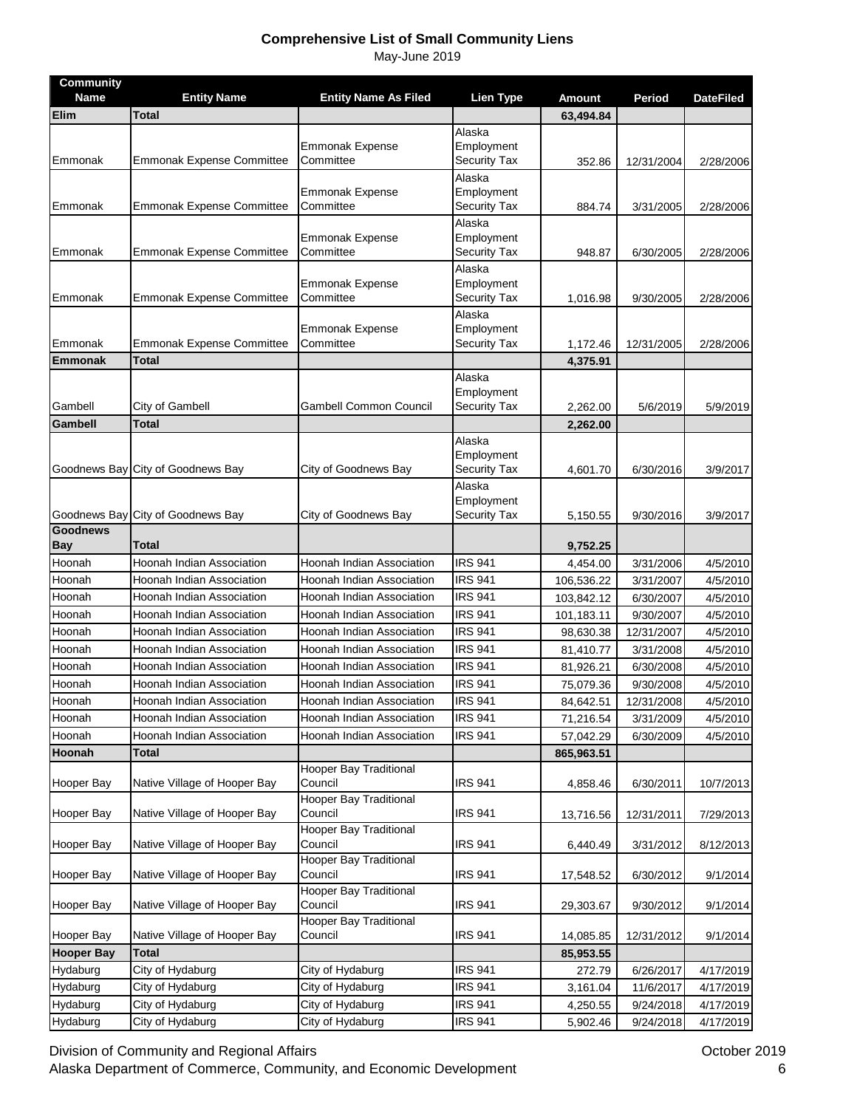| <b>Community</b><br><b>Name</b> | <b>Entity Name</b>               | <b>Entity Name As Filed</b>              | <b>Lien Type</b>     | <b>Amount</b> | Period     | <b>DateFiled</b> |
|---------------------------------|----------------------------------|------------------------------------------|----------------------|---------------|------------|------------------|
| Elim                            | <b>Total</b>                     |                                          |                      | 63,494.84     |            |                  |
|                                 |                                  |                                          | Alaska               |               |            |                  |
|                                 |                                  | <b>Emmonak Expense</b>                   | Employment           |               |            |                  |
| Emmonak                         | <b>Emmonak Expense Committee</b> | Committee                                | Security Tax         | 352.86        | 12/31/2004 | 2/28/2006        |
|                                 |                                  |                                          | Alaska               |               |            |                  |
|                                 |                                  | <b>Emmonak Expense</b>                   | Employment           |               |            |                  |
| Emmonak                         | <b>Emmonak Expense Committee</b> | Committee                                | <b>Security Tax</b>  | 884.74        | 3/31/2005  | 2/28/2006        |
|                                 |                                  | <b>Emmonak Expense</b>                   | Alaska<br>Employment |               |            |                  |
| Emmonak                         | <b>Emmonak Expense Committee</b> | Committee                                | Security Tax         | 948.87        | 6/30/2005  | 2/28/2006        |
|                                 |                                  |                                          | Alaska               |               |            |                  |
|                                 |                                  | <b>Emmonak Expense</b>                   | Employment           |               |            |                  |
| Emmonak                         | <b>Emmonak Expense Committee</b> | Committee                                | Security Tax         | 1,016.98      | 9/30/2005  | 2/28/2006        |
|                                 |                                  |                                          | Alaska               |               |            |                  |
|                                 |                                  | <b>Emmonak Expense</b>                   | Employment           |               |            |                  |
| Emmonak                         | <b>Emmonak Expense Committee</b> | Committee                                | <b>Security Tax</b>  | 1,172.46      | 12/31/2005 | 2/28/2006        |
| <b>Emmonak</b>                  | <b>Total</b>                     |                                          |                      | 4,375.91      |            |                  |
|                                 |                                  |                                          | Alaska<br>Employment |               |            |                  |
| Gambell                         | City of Gambell                  | Gambell Common Council                   | <b>Security Tax</b>  | 2,262.00      | 5/6/2019   | 5/9/2019         |
| Gambell                         | <b>Total</b>                     |                                          |                      | 2,262.00      |            |                  |
|                                 |                                  |                                          | Alaska               |               |            |                  |
|                                 |                                  |                                          | Employment           |               |            |                  |
| Goodnews Bay                    | City of Goodnews Bay             | City of Goodnews Bay                     | <b>Security Tax</b>  | 4,601.70      | 6/30/2016  | 3/9/2017         |
|                                 |                                  |                                          | Alaska               |               |            |                  |
|                                 |                                  |                                          | Employment           |               |            |                  |
| Goodnews Bay<br><b>Goodnews</b> | City of Goodnews Bay             | City of Goodnews Bay                     | <b>Security Tax</b>  | 5,150.55      | 9/30/2016  | 3/9/2017         |
| <b>Bay</b>                      | Total                            |                                          |                      | 9,752.25      |            |                  |
| Hoonah                          | Hoonah Indian Association        | Hoonah Indian Association                | <b>IRS 941</b>       | 4,454.00      | 3/31/2006  | 4/5/2010         |
| Hoonah                          | Hoonah Indian Association        | Hoonah Indian Association                | <b>IRS 941</b>       | 106,536.22    | 3/31/2007  | 4/5/2010         |
| Hoonah                          | Hoonah Indian Association        | Hoonah Indian Association                | <b>IRS 941</b>       | 103,842.12    | 6/30/2007  | 4/5/2010         |
| Hoonah                          | Hoonah Indian Association        | Hoonah Indian Association                | <b>IRS 941</b>       | 101,183.11    | 9/30/2007  | 4/5/2010         |
| Hoonah                          | Hoonah Indian Association        | Hoonah Indian Association                | <b>IRS 941</b>       | 98,630.38     | 12/31/2007 | 4/5/2010         |
| Hoonah                          | Hoonah Indian Association        | Hoonah Indian Association                | <b>IRS 941</b>       | 81,410.77     | 3/31/2008  | 4/5/2010         |
| Hoonah                          | Hoonah Indian Association        | Hoonah Indian Association                | <b>IRS 941</b>       | 81,926.21     | 6/30/2008  | 4/5/2010         |
| Hoonah                          | Hoonah Indian Association        | Hoonah Indian Association                | <b>IRS 941</b>       | 75,079.36     | 9/30/2008  | 4/5/2010         |
| Hoonah                          | Hoonah Indian Association        | Hoonah Indian Association                | <b>IRS 941</b>       | 84,642.51     | 12/31/2008 | 4/5/2010         |
| Hoonah                          | Hoonah Indian Association        | Hoonah Indian Association                | <b>IRS 941</b>       | 71,216.54     | 3/31/2009  | 4/5/2010         |
| Hoonah                          | Hoonah Indian Association        | Hoonah Indian Association                | <b>IRS 941</b>       | 57,042.29     | 6/30/2009  | 4/5/2010         |
| Hoonah                          | <b>Total</b>                     |                                          |                      | 865,963.51    |            |                  |
|                                 |                                  | <b>Hooper Bay Traditional</b>            |                      |               |            |                  |
| Hooper Bay                      | Native Village of Hooper Bay     | Council                                  | <b>IRS 941</b>       | 4,858.46      | 6/30/2011  | 10/7/2013        |
|                                 |                                  | <b>Hooper Bay Traditional</b>            |                      |               |            |                  |
| Hooper Bay                      | Native Village of Hooper Bay     | Council                                  | <b>IRS 941</b>       | 13,716.56     | 12/31/2011 | 7/29/2013        |
| Hooper Bay                      | Native Village of Hooper Bay     | <b>Hooper Bay Traditional</b><br>Council | <b>IRS 941</b>       | 6,440.49      | 3/31/2012  | 8/12/2013        |
|                                 |                                  | Hooper Bay Traditional                   |                      |               |            |                  |
| Hooper Bay                      | Native Village of Hooper Bay     | Council                                  | <b>IRS 941</b>       | 17,548.52     | 6/30/2012  | 9/1/2014         |
|                                 |                                  | Hooper Bay Traditional                   |                      |               |            |                  |
| Hooper Bay                      | Native Village of Hooper Bay     | Council                                  | <b>IRS 941</b>       | 29,303.67     | 9/30/2012  | 9/1/2014         |
|                                 |                                  | <b>Hooper Bay Traditional</b>            |                      |               |            |                  |
| Hooper Bay                      | Native Village of Hooper Bay     | Council                                  | <b>IRS 941</b>       | 14,085.85     | 12/31/2012 | 9/1/2014         |
| <b>Hooper Bay</b>               | <b>Total</b>                     |                                          |                      | 85,953.55     |            |                  |
| Hydaburg                        | City of Hydaburg                 | City of Hydaburg                         | <b>IRS 941</b>       | 272.79        | 6/26/2017  | 4/17/2019        |
| Hydaburg                        | City of Hydaburg                 | City of Hydaburg                         | <b>IRS 941</b>       | 3,161.04      | 11/6/2017  | 4/17/2019        |
| Hydaburg                        | City of Hydaburg                 | City of Hydaburg                         | <b>IRS 941</b>       | 4,250.55      | 9/24/2018  | 4/17/2019        |
| Hydaburg                        | City of Hydaburg                 | City of Hydaburg                         | <b>IRS 941</b>       | 5,902.46      | 9/24/2018  | 4/17/2019        |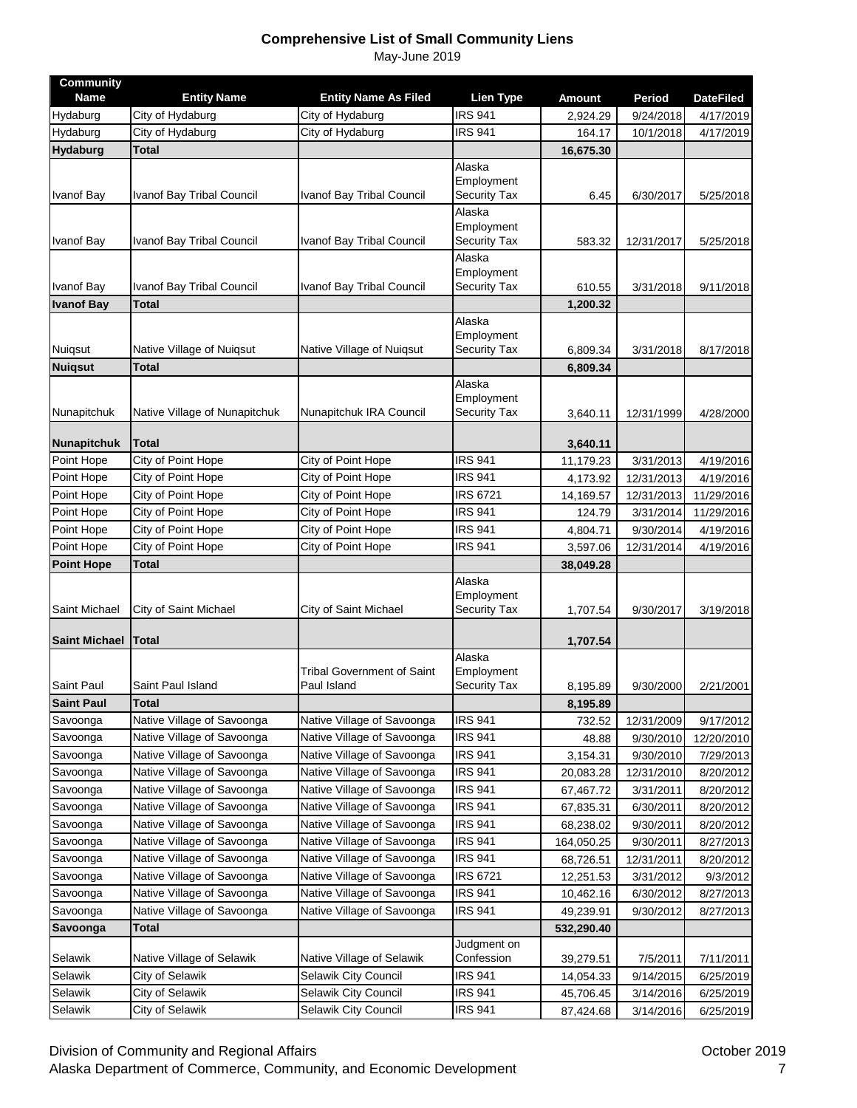| <b>Community</b><br><b>Name</b> | <b>Entity Name</b>                 | <b>Entity Name As Filed</b>                  | <b>Lien Type</b>                            | <b>Amount</b>          | <b>Period</b>          | <b>DateFiled</b>       |
|---------------------------------|------------------------------------|----------------------------------------------|---------------------------------------------|------------------------|------------------------|------------------------|
| Hydaburg                        | City of Hydaburg                   | City of Hydaburg                             | <b>IRS 941</b>                              | 2,924.29               | 9/24/2018              | 4/17/2019              |
| Hydaburg                        | City of Hydaburg                   | City of Hydaburg                             | <b>IRS 941</b>                              | 164.17                 | 10/1/2018              | 4/17/2019              |
| Hydaburg                        | <b>Total</b>                       |                                              |                                             | 16,675.30              |                        |                        |
| <b>Ivanof Bay</b>               | <b>Ivanof Bay Tribal Council</b>   | Ivanof Bay Tribal Council                    | Alaska<br>Employment<br>Security Tax        | 6.45                   | 6/30/2017              | 5/25/2018              |
| Ivanof Bay                      | <b>Ivanof Bay Tribal Council</b>   | Ivanof Bay Tribal Council                    | Alaska<br>Employment<br>Security Tax        | 583.32                 | 12/31/2017             | 5/25/2018              |
|                                 |                                    |                                              | Alaska                                      |                        |                        |                        |
| Ivanof Bay                      | Ivanof Bay Tribal Council          | Ivanof Bay Tribal Council                    | Employment<br>Security Tax                  | 610.55                 | 3/31/2018              | 9/11/2018              |
| <b>Ivanof Bay</b>               | <b>Total</b>                       |                                              |                                             | 1,200.32               |                        |                        |
| Nuiqsut                         | Native Village of Nuiqsut          | Native Village of Nuiqsut                    | Alaska<br>Employment<br><b>Security Tax</b> | 6,809.34               | 3/31/2018              | 8/17/2018              |
| <b>Nuiqsut</b>                  | <b>Total</b>                       |                                              |                                             | 6,809.34               |                        |                        |
| Nunapitchuk                     | Native Village of Nunapitchuk      | Nunapitchuk IRA Council                      | Alaska<br>Employment<br><b>Security Tax</b> | 3,640.11               | 12/31/1999             | 4/28/2000              |
| Nunapitchuk                     | Total                              |                                              |                                             | 3,640.11               |                        |                        |
| Point Hope                      | City of Point Hope                 | City of Point Hope                           | <b>IRS 941</b>                              | 11,179.23              | 3/31/2013              | 4/19/2016              |
| Point Hope                      | City of Point Hope                 | City of Point Hope                           | <b>IRS 941</b>                              | 4,173.92               | 12/31/2013             | 4/19/2016              |
| Point Hope                      | City of Point Hope                 | City of Point Hope                           | <b>IRS 6721</b>                             | 14,169.57              | 12/31/2013             | 11/29/2016             |
| Point Hope                      | City of Point Hope                 | City of Point Hope                           | <b>IRS 941</b>                              | 124.79                 | 3/31/2014              | 11/29/2016             |
| Point Hope                      | City of Point Hope                 | City of Point Hope                           | <b>IRS 941</b>                              | 4,804.71               | 9/30/2014              | 4/19/2016              |
| Point Hope                      | City of Point Hope                 | City of Point Hope                           | <b>IRS 941</b>                              | 3,597.06               | 12/31/2014             | 4/19/2016              |
| <b>Point Hope</b>               | Total                              |                                              |                                             | 38,049.28              |                        |                        |
| Saint Michael                   | City of Saint Michael              | City of Saint Michael                        | Alaska<br>Employment<br><b>Security Tax</b> | 1,707.54               | 9/30/2017              | 3/19/2018              |
| <b>Saint Michael</b>            | <b>ITotal</b>                      |                                              |                                             | 1,707.54               |                        |                        |
| Saint Paul                      | Saint Paul Island                  | Tribal Government of Saint<br>Paul Island    | Alaska<br>Employment<br>Security Tax        | 8,195.89               | 9/30/2000              | 2/21/2001              |
| <b>Saint Paul</b>               | <b>Total</b>                       |                                              |                                             | 8,195.89               |                        |                        |
| Savoonga                        | Native Village of Savoonga         | Native Village of Savoonga                   | <b>IRS 941</b>                              | 732.52                 | 12/31/2009             | 9/17/2012              |
| Savoonga                        | Native Village of Savoonga         | Native Village of Savoonga                   | <b>IRS 941</b>                              | 48.88                  | 9/30/2010              | 12/20/2010             |
| Savoonga                        | Native Village of Savoonga         | Native Village of Savoonga                   | <b>IRS 941</b>                              | 3,154.31               | 9/30/2010              | 7/29/2013              |
| Savoonga                        | Native Village of Savoonga         | Native Village of Savoonga                   | <b>IRS 941</b>                              | 20,083.28              | 12/31/2010             | 8/20/2012              |
| Savoonga                        | Native Village of Savoonga         | Native Village of Savoonga                   | <b>IRS 941</b>                              | 67,467.72              | 3/31/2011              | 8/20/2012              |
| Savoonga                        | Native Village of Savoonga         | Native Village of Savoonga                   | <b>IRS 941</b>                              | 67,835.31              | 6/30/2011              | 8/20/2012              |
| Savoonga                        | Native Village of Savoonga         | Native Village of Savoonga                   | <b>IRS 941</b>                              | 68,238.02              | 9/30/2011              | 8/20/2012              |
| Savoonga                        | Native Village of Savoonga         | Native Village of Savoonga                   | <b>IRS 941</b>                              | 164,050.25             | 9/30/2011              | 8/27/2013              |
| Savoonga                        | Native Village of Savoonga         | Native Village of Savoonga                   | <b>IRS 941</b>                              | 68,726.51              | 12/31/2011             | 8/20/2012              |
| Savoonga                        | Native Village of Savoonga         | Native Village of Savoonga                   | <b>IRS 6721</b>                             | 12,251.53              | 3/31/2012              | 9/3/2012               |
| Savoonga                        |                                    | Native Village of Savoonga                   | <b>IRS 941</b>                              | 10,462.16              | 6/30/2012              | 8/27/2013              |
|                                 | Native Village of Savoonga         |                                              |                                             |                        |                        |                        |
| Savoonga                        | Native Village of Savoonga         | Native Village of Savoonga                   | <b>IRS 941</b>                              | 49,239.91              | 9/30/2012              | 8/27/2013              |
| Savoonga                        | Total                              |                                              |                                             | 532,290.40             |                        |                        |
| Selawik                         | Native Village of Selawik          | Native Village of Selawik                    | Judgment on<br>Confession                   | 39,279.51              | 7/5/2011               | 7/11/2011              |
| Selawik                         | City of Selawik                    | Selawik City Council                         | <b>IRS 941</b>                              | 14,054.33              | 9/14/2015              | 6/25/2019              |
| Selawik<br>Selawik              | City of Selawik<br>City of Selawik | Selawik City Council<br>Selawik City Council | <b>IRS 941</b><br><b>IRS 941</b>            | 45,706.45<br>87,424.68 | 3/14/2016<br>3/14/2016 | 6/25/2019<br>6/25/2019 |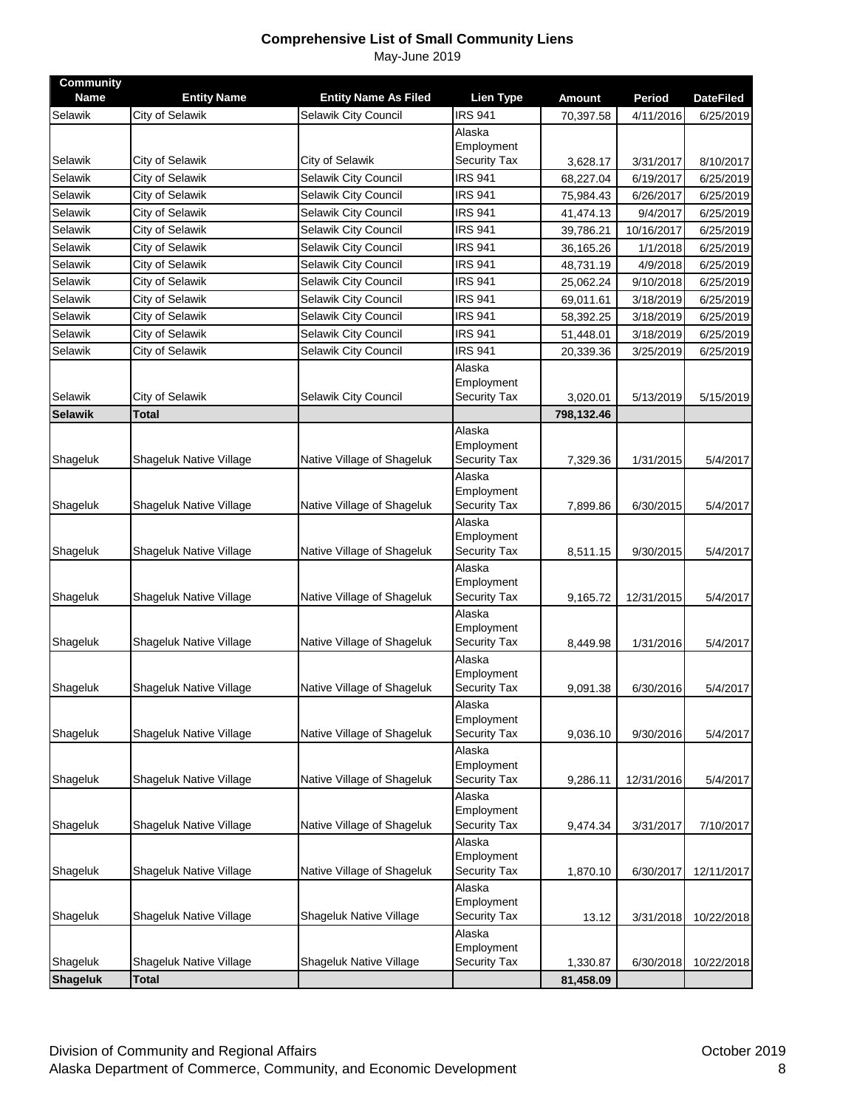| <b>Community</b><br><b>Name</b> | <b>Entity Name</b>      | <b>Entity Name As Filed</b> | <b>Lien Type</b>           | <b>Amount</b> | Period     | <b>DateFiled</b> |
|---------------------------------|-------------------------|-----------------------------|----------------------------|---------------|------------|------------------|
| Selawik                         | City of Selawik         | Selawik City Council        | <b>IRS 941</b>             | 70,397.58     | 4/11/2016  | 6/25/2019        |
|                                 |                         |                             | Alaska                     |               |            |                  |
|                                 |                         |                             | Employment                 |               |            |                  |
| Selawik                         | City of Selawik         | City of Selawik             | Security Tax               | 3,628.17      | 3/31/2017  | 8/10/2017        |
| Selawik                         | City of Selawik         | Selawik City Council        | <b>IRS 941</b>             | 68,227.04     | 6/19/2017  | 6/25/2019        |
| Selawik                         | City of Selawik         | Selawik City Council        | <b>IRS 941</b>             | 75,984.43     | 6/26/2017  | 6/25/2019        |
| Selawik                         | City of Selawik         | Selawik City Council        | <b>IRS 941</b>             | 41,474.13     | 9/4/2017   | 6/25/2019        |
| Selawik                         | City of Selawik         | Selawik City Council        | <b>IRS 941</b>             | 39,786.21     | 10/16/2017 | 6/25/2019        |
| Selawik                         | City of Selawik         | Selawik City Council        | <b>IRS 941</b>             | 36,165.26     | 1/1/2018   | 6/25/2019        |
| Selawik                         | City of Selawik         | Selawik City Council        | <b>IRS 941</b>             | 48,731.19     | 4/9/2018   | 6/25/2019        |
| Selawik                         | City of Selawik         | Selawik City Council        | <b>IRS 941</b>             | 25,062.24     | 9/10/2018  | 6/25/2019        |
| Selawik                         | City of Selawik         | Selawik City Council        | <b>IRS 941</b>             | 69,011.61     | 3/18/2019  | 6/25/2019        |
| Selawik                         | City of Selawik         | Selawik City Council        | <b>IRS 941</b>             | 58,392.25     | 3/18/2019  | 6/25/2019        |
| Selawik                         | City of Selawik         | Selawik City Council        | <b>IRS 941</b>             | 51,448.01     | 3/18/2019  | 6/25/2019        |
| Selawik                         | City of Selawik         | Selawik City Council        | <b>IRS 941</b>             | 20,339.36     | 3/25/2019  | 6/25/2019        |
|                                 |                         |                             | Alaska                     |               |            |                  |
|                                 |                         |                             | Employment                 |               |            |                  |
| Selawik                         | City of Selawik         | Selawik City Council        | Security Tax               | 3,020.01      | 5/13/2019  | 5/15/2019        |
| <b>Selawik</b>                  | <b>Total</b>            |                             |                            | 798,132.46    |            |                  |
|                                 |                         |                             | Alaska                     |               |            |                  |
| Shageluk                        | Shageluk Native Village |                             | Employment                 |               |            |                  |
|                                 |                         | Native Village of Shageluk  | Security Tax<br>Alaska     | 7,329.36      | 1/31/2015  | 5/4/2017         |
|                                 |                         |                             | Employment                 |               |            |                  |
| Shageluk                        | Shageluk Native Village | Native Village of Shageluk  | <b>Security Tax</b>        | 7,899.86      | 6/30/2015  | 5/4/2017         |
|                                 |                         |                             | Alaska                     |               |            |                  |
|                                 |                         |                             | Employment                 |               |            |                  |
| Shageluk                        | Shageluk Native Village | Native Village of Shageluk  | <b>Security Tax</b>        | 8,511.15      | 9/30/2015  | 5/4/2017         |
|                                 |                         |                             | Alaska                     |               |            |                  |
|                                 |                         |                             | Employment                 |               |            |                  |
| Shageluk                        | Shageluk Native Village | Native Village of Shageluk  | Security Tax               | 9,165.72      | 12/31/2015 | 5/4/2017         |
|                                 |                         |                             | Alaska<br>Employment       |               |            |                  |
| Shageluk                        | Shageluk Native Village | Native Village of Shageluk  | Security Tax               | 8,449.98      | 1/31/2016  | 5/4/2017         |
|                                 |                         |                             | Alaska                     |               |            |                  |
|                                 |                         |                             | Employment                 |               |            |                  |
| Shageluk                        | Shageluk Native Village | Native Village of Shageluk  | Security Tax               | 9,091.38      | 6/30/2016  | 5/4/2017         |
|                                 |                         |                             | Alaska                     |               |            |                  |
|                                 |                         |                             | Employment                 |               |            |                  |
| Shageluk                        | Shageluk Native Village | Native Village of Shageluk  | Security Tax               | 9,036.10      | 9/30/2016  | 5/4/2017         |
|                                 |                         |                             | Alaska<br>Employment       |               |            |                  |
| Shageluk                        | Shageluk Native Village | Native Village of Shageluk  | Security Tax               | 9,286.11      | 12/31/2016 | 5/4/2017         |
|                                 |                         |                             | Alaska                     |               |            |                  |
|                                 |                         |                             | Employment                 |               |            |                  |
| Shageluk                        | Shageluk Native Village | Native Village of Shageluk  | Security Tax               | 9,474.34      | 3/31/2017  | 7/10/2017        |
|                                 |                         |                             | Alaska                     |               |            |                  |
|                                 |                         |                             | Employment                 |               |            |                  |
| Shageluk                        | Shageluk Native Village | Native Village of Shageluk  | Security Tax               | 1,870.10      | 6/30/2017  | 12/11/2017       |
|                                 |                         |                             | Alaska                     |               |            |                  |
| Shageluk                        | Shageluk Native Village | Shageluk Native Village     | Employment<br>Security Tax |               |            |                  |
|                                 |                         |                             | Alaska                     | 13.12         | 3/31/2018  | 10/22/2018       |
|                                 |                         |                             | Employment                 |               |            |                  |
| Shageluk                        | Shageluk Native Village | Shageluk Native Village     | Security Tax               | 1,330.87      | 6/30/2018  | 10/22/2018       |
| <b>Shageluk</b>                 | <b>Total</b>            |                             |                            | 81,458.09     |            |                  |
|                                 |                         |                             |                            |               |            |                  |